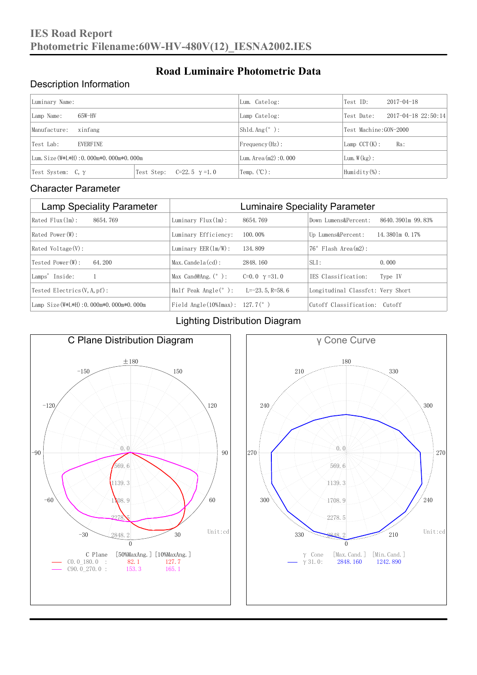#### Description Information

| Luminary Name:                          |                                     | Lum. Catelog:                   | Test ID:                    | $2017 - 04 - 18$ |  |
|-----------------------------------------|-------------------------------------|---------------------------------|-----------------------------|------------------|--|
| $65W-HV$<br>Lamp Name:                  | Lamp Catelog:                       | Test Date:                      | $2017 - 04 - 18$ $22:50:14$ |                  |  |
| Manufacture:<br>xinfang                 |                                     | $\vert$ Shld. Ang $(^\circ$ ) : | Test Machine:GON-2000       |                  |  |
| Test Lab:<br>EVERFINE                   |                                     | $Frequency(Hz)$ :               | $Lamp$ CCT(K):              | Ra:              |  |
| Lum. Size (W*L*H): 0.000m*0.000m*0.000m |                                     | Lum. Area (m2): 0.000           | Lum. $W(kg)$ :              |                  |  |
| Test System: $C, \gamma$                | Test Step:<br>$C=22.5$ $\gamma=1.0$ | Temp. $(\mathbb{C})$ :          | Humidity $(\%)$ :           |                  |  |

**Road Luminaire Photometric Data**

#### Character Parameter

| <b>Lamp Speciality Parameter</b>       | <b>Luminaire Speciality Parameter</b>                               |                      |                                   |                     |
|----------------------------------------|---------------------------------------------------------------------|----------------------|-----------------------------------|---------------------|
| Rated Flux(1m):<br>8654, 769           | Luminary $Flux(ln)$ :                                               | 8654, 769            | Down Lumens&Percent:              | 8640, 3901m 99, 83% |
| Rated Power (W):                       | Luminary Efficiency:                                                | 100.00%              | Up Lumens&Percent:                | 14.3801m 0.17%      |
| $Rated$ Voltage $(V)$ :                | Luminary $EER(\ln/W)$ :                                             | 134, 809             | $76°$ Flash Area $(m2)$ :         |                     |
| Tested Power(W):<br>64.200             | $Max. Candela(cd)$ :                                                | 2848, 160            | $SLI$ :                           | 0.000               |
| Lamps' Inside:                         | Max Cand@Ang. $(°)$ :                                               | C=0.0 $\gamma$ =31.0 | TES Classification:               | Type IV             |
| Tested Electrics $(V, A, pf)$ :        | Half Peak Angle $(°)$ :                                             | $L=-23.5$ , R=58, 6  | Longitudinal Classfct: Very Short |                     |
| Lamp Size(W*L*H): 0.000m*0.000m*0.000m | Field Angle $(10\text{\%} \text{Im} \text{ax})$ : 127.7 $(^\circ$ ) |                      | Cutoff Classification: Cutoff     |                     |

#### Lighting Distribution Diagram



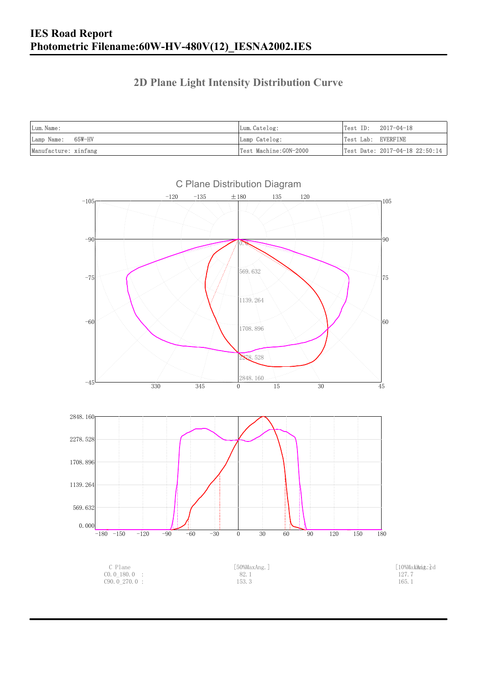### **2D Plane Light Intensity Distribution Curve**

| Lum. Name:           | Lum. Catelog:         | $Test ID: 2017-04-18$          |
|----------------------|-----------------------|--------------------------------|
| Lamp Name: 65W-HV    | Lamp Catelog:         | Test Lab: EVERFINE             |
| Manufacture: xinfang | Test Machine:GON-2000 | Test Date: 2017-04-18 22:50:14 |

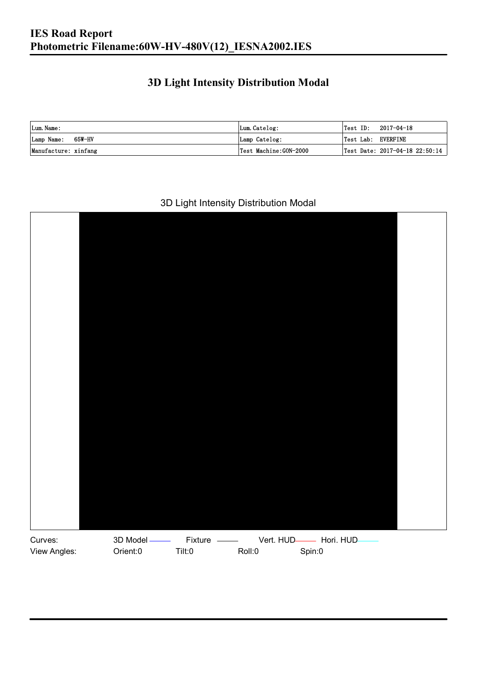### **3D Light Intensity Distribution Modal**

| Lum. Name:           | Lum.Catelog:          |                    | $\textsf{Test ID:} \quad 2017-04-18$ |
|----------------------|-----------------------|--------------------|--------------------------------------|
| Lamp Name: 65W-HV    | Lamp Catelog:         | Test Lab: EVERFINE |                                      |
| Manufacture: xinfang | Test Machine:GON-2000 |                    | Test Date: 2017-04-18 22:50:14       |

#### 3D Light Intensity Distribution Modal

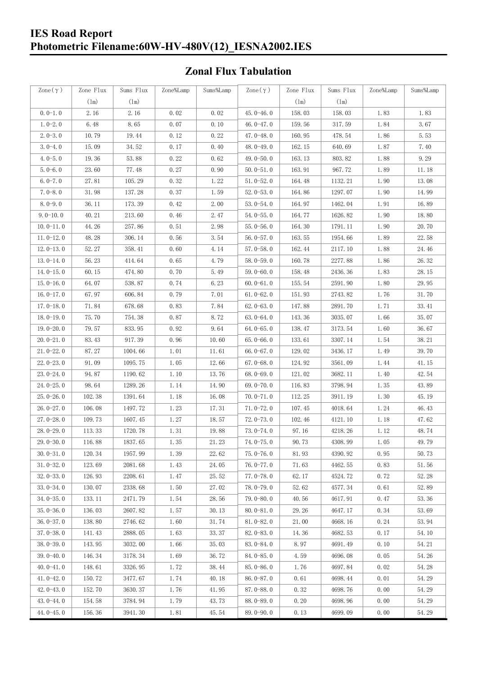### **IES Road Report Photometric Filename:60W-HV-480V(12)\_IESNA2002.IES**

### **Zonal Flux Tabulation**

| Zone $(\gamma)$ | Zone Flux | Sums Flux | Zone%Lamp | Sums%Lamp | Zone $(\gamma)$ | Zone Flux | Sums Flux | Zone%Lamp | Sums%Lamp |
|-----------------|-----------|-----------|-----------|-----------|-----------------|-----------|-----------|-----------|-----------|
|                 | (1m)      | (1m)      |           |           |                 | (1m)      | (1m)      |           |           |
| $0.0-1.0$       | 2.16      | 2.16      | 0.02      | 0.02      | 45.0-46.0       | 158.03    | 158.03    | 1.83      | 1.83      |
| $1.0 - 2.0$     | 6.48      | 8.65      | 0.07      | 0.10      | 46.0-47.0       | 159.56    | 317.59    | 1.84      | 3.67      |
| $2.0 - 3.0$     | 10.79     | 19.44     | 0.12      | 0.22      | 47.0-48.0       | 160.95    | 478.54    | 1.86      | 5.53      |
| $3.0 - 4.0$     | 15.09     | 34.52     | 0.17      | 0.40      | 48.0-49.0       | 162.15    | 640.69    | 1.87      | 7.40      |
| $4.0 - 5.0$     | 19.36     | 53.88     | 0.22      | 0.62      | 49.0 $-50.0$    | 163.13    | 803.82    | 1.88      | 9.29      |
| $5.0 - 6.0$     | 23.60     | 77.48     | 0.27      | 0.90      | $50.0 - 51.0$   | 163.91    | 967.72    | 1.89      | 11.18     |
| $6.0 - 7.0$     | 27.81     | 105.29    | 0.32      | 1.22      | $51.0 - 52.0$   | 164.48    | 1132.21   | 1.90      | 13.08     |
| $7.0 - 8.0$     | 31.98     | 137.28    | 0.37      | 1.59      | $52.0 - 53.0$   | 164.86    | 1297.07   | 1.90      | 14.99     |
| $8.0 - 9.0$     | 36.11     | 173.39    | 0.42      | 2.00      | $53.0 - 54.0$   | 164.97    | 1462.04   | 1.91      | 16.89     |
| $9.0 - 10.0$    | 40.21     | 213.60    | 0.46      | 2.47      | $54.0 - 55.0$   | 164.77    | 1626.82   | 1.90      | 18.80     |
| $10.0 - 11.0$   | 44.26     | 257.86    | 0.51      | 2.98      | $55.0 - 56.0$   | 164.30    | 1791.11   | 1.90      | 20.70     |
| $11.0 - 12.0$   | 48.28     | 306.14    | 0.56      | 3.54      | $56.0 - 57.0$   | 163.55    | 1954.66   | 1.89      | 22.58     |
| $12.0 - 13.0$   | 52.27     | 358.41    | 0.60      | 4.14      | $57.0 - 58.0$   | 162.44    | 2117.10   | 1.88      | 24.46     |
| $13.0 - 14.0$   | 56.23     | 414.64    | 0.65      | 4.79      | $58.0 - 59.0$   | 160.78    | 2277.88   | 1.86      | 26.32     |
| $14.0 - 15.0$   | 60.15     | 474.80    | 0.70      | 5.49      | $59.0 - 60.0$   | 158.48    | 2436.36   | 1.83      | 28.15     |
| $15.0 - 16.0$   | 64.07     | 538.87    | 0.74      | 6.23      | $60.0 - 61.0$   | 155.54    | 2591.90   | 1.80      | 29.95     |
| $16.0 - 17.0$   | 67.97     | 606.84    | 0.79      | 7.01      | $61.0 - 62.0$   | 151.93    | 2743.82   | 1.76      | 31.70     |
| $17.0 - 18.0$   | 71.84     | 678.68    | 0.83      | 7.84      | $62.0 - 63.0$   | 147.88    | 2891.70   | 1.71      | 33.41     |
| $18.0 - 19.0$   | 75.70     | 754.38    | 0.87      | 8.72      | $63.0 - 64.0$   | 143.36    | 3035.07   | 1.66      | 35.07     |
| $19.0 - 20.0$   | 79.57     | 833.95    | 0.92      | 9.64      | $64.0 - 65.0$   | 138.47    | 3173.54   | 1.60      | 36.67     |
| $20.0 - 21.0$   | 83.43     | 917.39    | 0.96      | 10.60     | $65.0 - 66.0$   | 133.61    | 3307.14   | 1.54      | 38.21     |
| $21.0 - 22.0$   | 87.27     | 1004.66   | 1.01      | 11.61     | 66.0 $-67.0$    | 129.02    | 3436.17   | 1.49      | 39.70     |
| $22.0 - 23.0$   | 91.09     | 1095.75   | 1.05      | 12.66     | $67.0 - 68.0$   | 124.92    | 3561.09   | 1.44      | 41.15     |
| 23.0-24.0       | 94.87     | 1190.62   | 1.10      | 13.76     | $68.0 - 69.0$   | 121.02    | 3682.11   | 1.40      | 42.54     |
| $24.0 - 25.0$   | 98.64     | 1289.26   | 1.14      | 14.90     | 69.0 $-70.0$    | 116.83    | 3798.94   | 1.35      | 43.89     |
| $25.0 - 26.0$   | 102.38    | 1391.64   | 1.18      | 16.08     | $70.0 - 71.0$   | 112.25    | 3911.19   | 1.30      | 45.19     |
| $26.0 - 27.0$   | 106.08    | 1497.72   | 1.23      | 17.31     | $71.0 - 72.0$   | 107.45    | 4018.64   | 1.24      | 46.43     |
| $27.0 - 28.0$   | 109.73    | 1607.45   | 1.27      | 18.57     | $72.0 - 73.0$   | 102.46    | 4121.10   | 1.18      | 47.62     |
| $28.0 - 29.0$   | 113.33    | 1720.78   | 1.31      | 19.88     | $73.0 - 74.0$   | 97.16     | 4218.26   | 1.12      | 48.74     |
| $29.0 - 30.0$   | 116.88    | 1837.65   | 1.35      | 21.23     | 74.0-75.0       | 90.73     | 4308.99   | 1.05      | 49.79     |
| $30.0 - 31.0$   | 120.34    | 1957.99   | 1.39      | 22.62     | $75.0 - 76.0$   | 81.93     | 4390.92   | 0.95      | 50.73     |
| $31.0 - 32.0$   | 123.69    | 2081.68   | 1.43      | 24.05     | $76.0 - 77.0$   | 71.63     | 4462.55   | 0.83      | 51.56     |
| $32.0 - 33.0$   | 126.93    | 2208.61   | 1.47      | 25.52     | $77.0 - 78.0$   | 62.17     | 4524.72   | 0.72      | 52.28     |
| $33.0 - 34.0$   | 130.07    | 2338.68   | 1.50      | 27.02     | $78.0 - 79.0$   | 52.62     | 4577.34   | 0.61      | 52.89     |
| $34.0 - 35.0$   | 133.11    | 2471.79   | 1.54      | 28.56     | 79.0-80.0       | 40.56     | 4617.91   | 0.47      | 53.36     |
| $35.0 - 36.0$   | 136.03    | 2607.82   | 1.57      | 30.13     | $80.0 - 81.0$   | 29.26     | 4647.17   | 0.34      | 53.69     |
| $36.0 - 37.0$   | 138.80    | 2746.62   | 1.60      | 31.74     | $81.0 - 82.0$   | 21.00     | 4668.16   | 0.24      | 53.94     |
| $37.0 - 38.0$   | 141.43    | 2888.05   | 1.63      | 33.37     | 82.0-83.0       | 14.36     | 4682.53   | 0.17      | 54.10     |
| $38.0 - 39.0$   | 143.95    | 3032.00   | 1.66      | 35.03     | 83.0-84.0       | 8.97      | 4691.49   | 0.10      | 54.21     |
| $39.0 - 40.0$   | 146.34    | 3178.34   | 1.69      | 36.72     | 84.0-85.0       | 4.59      | 4696.08   | 0.05      | 54.26     |
| $40.0 - 41.0$   | 148.61    | 3326.95   | 1.72      | 38.44     | $85.0 - 86.0$   | 1.76      | 4697.84   | 0.02      | 54.28     |
| $41.0 - 42.0$   | 150.72    | 3477.67   | 1.74      | 40.18     | $86.0 - 87.0$   | 0.61      | 4698.44   | 0.01      | 54.29     |
| $42.0 - 43.0$   | 152.70    | 3630.37   | 1.76      | 41.95     | $87.0 - 88.0$   | 0.32      | 4698.76   | 0.00      | 54.29     |
| $43.0 - 44.0$   | 154.58    | 3784.94   | 1.79      | 43.73     | 88.0-89.0       | 0.20      | 4698.96   | 0.00      | 54.29     |
| $44.0 - 45.0$   | 156.36    | 3941.30   | 1.81      | 45.54     | $89.0 - 90.0$   | 0.13      | 4699.09   | 0.00      | 54.29     |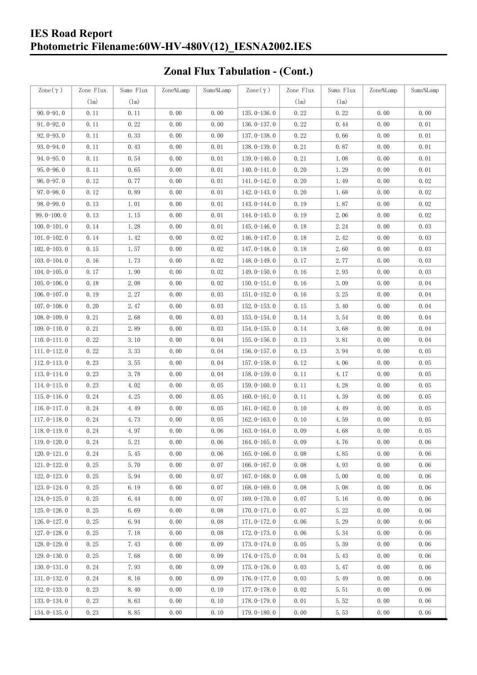### **IES Road Report Photometric Filename:60W-HV-480V(12)\_IESNA2002.IES**

# **Zonal Flux Tabulation - (Cont.)**

| Zone $(\gamma)$ | Zone Flux | Sums Flux           | Zone%Lamp | Sums%Lamp | Zone $(\gamma)$ | Zone Flux | Sums Flux | Zone%Lamp | Sums%Lamp |
|-----------------|-----------|---------------------|-----------|-----------|-----------------|-----------|-----------|-----------|-----------|
|                 | (1m)      | (1m)                |           |           |                 | (1m)      | (1m)      |           |           |
| $90.0 - 91.0$   | 0.11      | 0.11                | 0.00      | 0.00      | $135.0 - 136.0$ | 0.22      | 0.22      | 0.00      | 0.00      |
| $91.0 - 92.0$   | 0.11      | 0.22                | 0.00      | 0.00      | $136.0 - 137.0$ | 0.22      | 0.44      | 0.00      | 0.01      |
| $92.0 - 93.0$   | 0.11      | 0.33                | 0.00      | 0.00      | $137.0 - 138.0$ | 0.22      | 0.66      | 0.00      | 0.01      |
| 93.0-94.0       | 0.11      | 0.43                | 0.00      | 0.01      | 138.0-139.0     | 0.21      | 0.87      | 0.00      | 0.01      |
| $94.0 - 95.0$   | 0.11      | 0.54                | 0.00      | 0.01      | 139.0-140.0     | 0.21      | 1.08      | 0.00      | 0.01      |
| $95.0 - 96.0$   | 0.11      | 0.65                | 0.00      | 0.01      | $140.0 - 141.0$ | 0.20      | 1.29      | 0.00      | 0.01      |
| $96.0 - 97.0$   | 0.12      | 0.77                | 0.00      | 0.01      | 141.0-142.0     | 0.20      | 1.49      | 0.00      | 0.02      |
| $97.0 - 98.0$   | 0.12      | 0.89                | 0.00      | 0.01      | 142.0-143.0     | 0.20      | 1.68      | 0.00      | 0.02      |
| $98.0 - 99.0$   | 0.13      | 1.01                | 0.00      | 0.01      | 143.0-144.0     | 0.19      | 1.87      | 0.00      | 0.02      |
| $99.0 - 100.0$  | 0.13      | 1.15                | 0.00      | 0.01      | 144.0-145.0     | 0.19      | 2.06      | 0.00      | 0.02      |
| $100.0 - 101.0$ | 0.14      | 1.28                | 0.00      | 0.01      | $145.0 - 146.0$ | 0.18      | 2.24      | 0.00      | 0.03      |
| $101.0 - 102.0$ | 0.14      | 1.42                | 0.00      | 0.02      | $146.0 - 147.0$ | 0.18      | 2.42      | 0.00      | 0.03      |
| $102.0 - 103.0$ | 0.15      | $1.\,\allowbreak57$ | 0.00      | 0.02      | 147.0-148.0     | 0.18      | 2.60      | 0.00      | 0.03      |
| $103.0 - 104.0$ | 0.16      | 1.73                | 0.00      | 0.02      | 148.0-149.0     | 0.17      | 2.77      | 0.00      | 0.03      |
| $104.0 - 105.0$ | 0.17      | 1.90                | 0.00      | 0.02      | 149.0-150.0     | 0.16      | 2.93      | 0.00      | 0.03      |
| $105.0 - 106.0$ | 0.18      | 2.08                | 0.00      | 0.02      | $150.0 - 151.0$ | 0.16      | 3.09      | 0.00      | 0.04      |
| $106.0 - 107.0$ | 0.19      | 2.27                | 0.00      | 0.03      | $151.0 - 152.0$ | 0.16      | 3.25      | 0.00      | 0.04      |
| $107.0 - 108.0$ | 0.20      | 2.47                | 0.00      | 0.03      | $152.0 - 153.0$ | 0.15      | 3.40      | 0.00      | 0.04      |
| $108.0 - 109.0$ | 0.21      | 2.68                | 0.00      | 0.03      | $153.0 - 154.0$ | 0.14      | 3.54      | 0.00      | 0.04      |
| $109.0 - 110.0$ | 0.21      | 2.89                | 0.00      | 0.03      | $154.0 - 155.0$ | 0.14      | 3.68      | 0.00      | 0.04      |
| $110.0 - 111.0$ | 0.22      | 3.10                | 0.00      | 0.04      | $155.0 - 156.0$ | 0.13      | 3.81      | 0.00      | 0.04      |
| $111.0 - 112.0$ | 0.22      | 3.33                | 0.00      | 0.04      | $156.0 - 157.0$ | 0.13      | 3.94      | 0.00      | 0.05      |
| $112.0 - 113.0$ | 0.23      | 3.55                | 0.00      | 0.04      | $157.0 - 158.0$ | 0.12      | 4.06      | 0.00      | 0.05      |
| $113.0 - 114.0$ | 0.23      | 3.78                | 0.00      | 0.04      | $158.0 - 159.0$ | 0.11      | 4.17      | 0.00      | 0.05      |
| $114.0 - 115.0$ | 0.23      | 4.02                | 0.00      | 0.05      | $159.0 - 160.0$ | 0.11      | 4.28      | 0.00      | 0.05      |
| $115.0 - 116.0$ | 0.24      | 4.25                | 0.00      | 0.05      | $160.0 - 161.0$ | 0.11      | 4.39      | 0.00      | 0.05      |
| $116.0 - 117.0$ | 0.24      | 4.49                | 0.00      | 0.05      | $161.0 - 162.0$ | 0.10      | 4.49      | 0.00      | 0.05      |
| $117.0 - 118.0$ | 0.24      | 4.73                | 0.00      | 0.05      | $162.0 - 163.0$ | 0.10      | 4.59      | 0.00      | 0.05      |
| $118.0 - 119.0$ | 0.24      | 4.97                | 0.00      | 0.06      | $163.0 - 164.0$ | 0.09      | 4.68      | 0.00      | 0.05      |
| 119.0-120.0     | 0.24      | 5.21                | 0.00      | 0.06      | 164.0-165.0     | 0.09      | 4.76      | 0.00      | 0.06      |
| $120.0 - 121.0$ | 0.24      | 5.45                | 0.00      | 0.06      | $165.0 - 166.0$ | 0.08      | 4.85      | 0.00      | 0.06      |
| $121.0 - 122.0$ | 0.25      | 5.70                | 0.00      | 0.07      | $166.0 - 167.0$ | 0.08      | 4.93      | 0.00      | 0.06      |
| $122.0 - 123.0$ | 0.25      | 5.94                | 0.00      | 0.07      | $167.0 - 168.0$ | 0.08      | 5.00      | 0.00      | 0.06      |
| $123.0 - 124.0$ | 0.25      | 6.19                | 0.00      | 0.07      | $168.0 - 169.0$ | 0.08      | 5.08      | 0.00      | 0.06      |
| $124.0 - 125.0$ | 0.25      | 6.44                | 0.00      | 0.07      | 169.0-170.0     | 0.07      | 5.16      | 0.00      | 0.06      |
| $125.0 - 126.0$ | 0.25      | 6.69                | 0.00      | 0.08      | $170.0 - 171.0$ | 0.07      | 5.22      | 0.00      | 0.06      |
| $126.0 - 127.0$ | 0.25      | 6.94                | 0.00      | 0.08      | 171.0-172.0     | 0.06      | 5.29      | 0.00      | 0.06      |
| $127.0 - 128.0$ | 0.25      | 7.18                | 0.00      | 0.08      | 172.0-173.0     | 0.06      | 5.34      | 0.00      | 0.06      |
| $128.0 - 129.0$ | 0.25      | 7.43                | 0.00      | 0.09      | 173.0-174.0     | 0.05      | 5.39      | 0.00      | 0.06      |
| $129.0 - 130.0$ | 0.25      | 7.68                | 0.00      | 0.09      | 174.0-175.0     | 0.04      | 5.43      | 0.00      | 0.06      |
| $130.0 - 131.0$ | 0.24      | 7.93                | 0.00      | 0.09      | $175.0 - 176.0$ | 0.03      | 5.47      | 0.00      | 0.06      |
| $131.0 - 132.0$ | 0.24      | 8.16                | 0.00      | 0.09      | 176.0-177.0     | 0.03      | 5.49      | 0.00      | 0.06      |
| $132.0 - 133.0$ | 0.23      | 8.40                | 0.00      | 0.10      | $177.0 - 178.0$ | 0.02      | 5.51      | 0.00      | 0.06      |
| 133.0-134.0     | 0.23      | 8.63                | 0.00      | 0.10      | 178.0-179.0     | 0.01      | 5.52      | 0.00      | 0.06      |
| $134.0 - 135.0$ | 0.23      | 8.85                | 0.00      | 0.10      | 179.0-180.0     | 0.00      | 5.53      | 0.00      | 0.06      |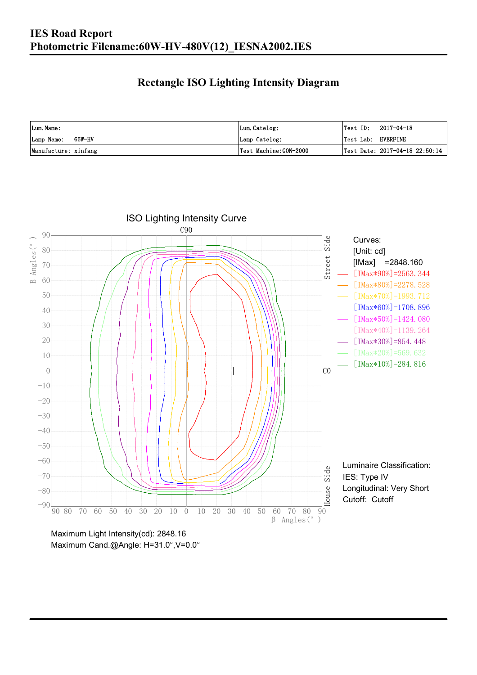### **Rectangle ISO Lighting Intensity Diagram**

| Lum. Name:           | Lum.Catelog:          | $\textsf{Test ID:} \quad 2017-04-18$ |
|----------------------|-----------------------|--------------------------------------|
| Lamp Name: 65W-HV    | Lamp Catelog:         | Test Lab: EVERFINE                   |
| Manufacture: xinfang | Test Machine:GON-2000 | Test Date: $2017-04-18$ $22:50:14$   |



Maximum Cand.@Angle: H=31.0°,V=0.0°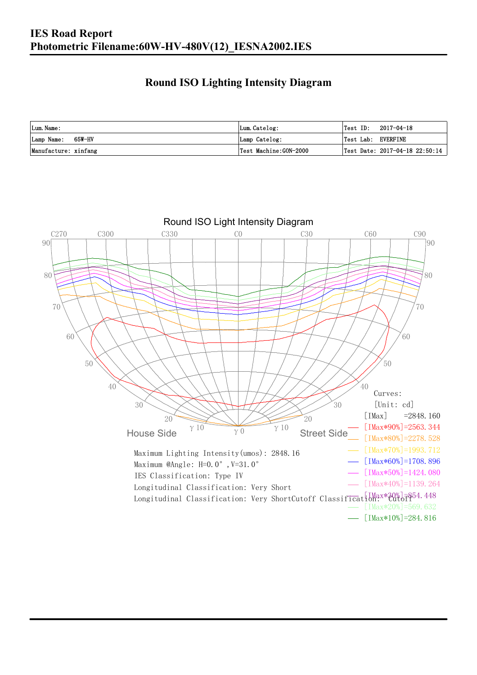#### **Round ISO Lighting Intensity Diagram**

| Lum. Name:           | Lum.Catelog:          | Test ID:<br>2017-04-18             |
|----------------------|-----------------------|------------------------------------|
| Lamp Name: 65W-HV    | Lamp Catelog:         | Test Lab: EVERFINE                 |
| Manufacture: xinfang | Test Machine:GON-2000 | Test Date: $2017-04-18$ $22:50:14$ |

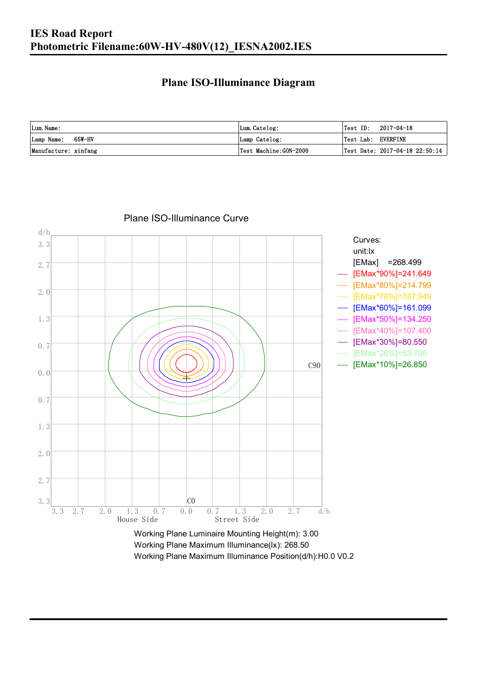#### **Plane ISO-Illuminance Diagram**

| Lum. Name:           | Lum.Catelog:          | $\textsf{Test ID:} \quad 2017-04-18$   |
|----------------------|-----------------------|----------------------------------------|
| Lamp Name: 65W-HV    | Lamp Catelog:         | Test Lab: EVERFINE                     |
| Manufacture: xinfang | Test Machine:GON-2000 | $\vert$ Test Date: 2017-04-18 22:50:14 |



#### Plane ISO-Illuminance Curve

Working Plane Maximum Illuminance(lx): 268.50 Working Plane Maximum Illuminance Position(d/h):H0.0 V0.2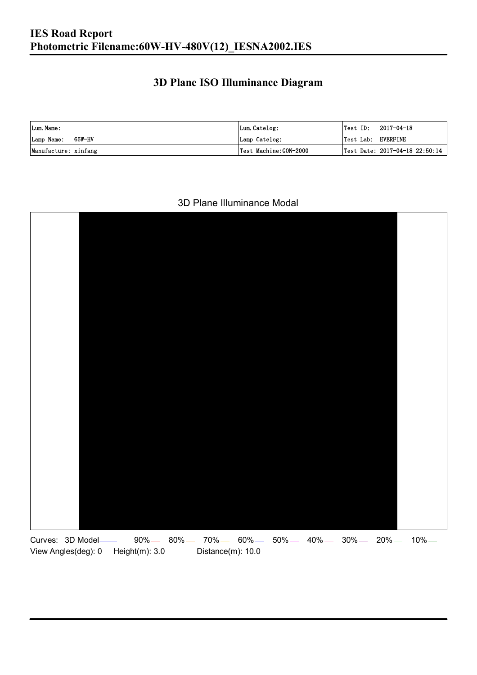### **3D Plane ISO Illuminance Diagram**

| Lum. Name:           | Lum.Catelog:          |                    | $\textsf{Test ID:} \quad 2017-04-18$ |
|----------------------|-----------------------|--------------------|--------------------------------------|
| Lamp Name: 65W-HV    | Lamp Catelog:         | Test Lab: EVERFINE |                                      |
| Manufacture: xinfang | Test Machine:GON-2000 |                    | Test Date: 2017-04-18 22:50:14       |

#### 3D Plane Illuminance Modal

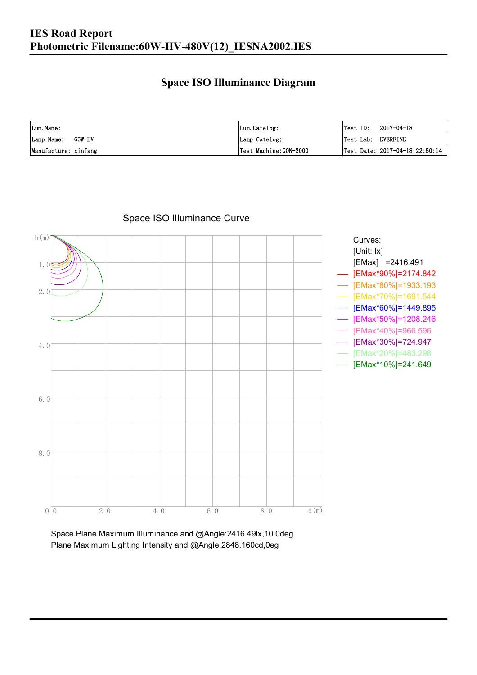#### **Space ISO Illuminance Diagram**

| Lum. Name:           | Lum.Catelog:          | Test ID:<br>2017-04-18             |
|----------------------|-----------------------|------------------------------------|
| Lamp Name: 65W-HV    | Lamp Catelog:         | Test Lab: EVERFINE                 |
| Manufacture: xinfang | Test Machine:GON-2000 | Test Date: $2017-04-18$ $22:50:14$ |



#### Space ISO Illuminance Curve

Space Plane Maximum Illuminance and @Angle:2416.49lx,10.0deg Plane Maximum Lighting Intensity and @Angle:2848.160cd,0eg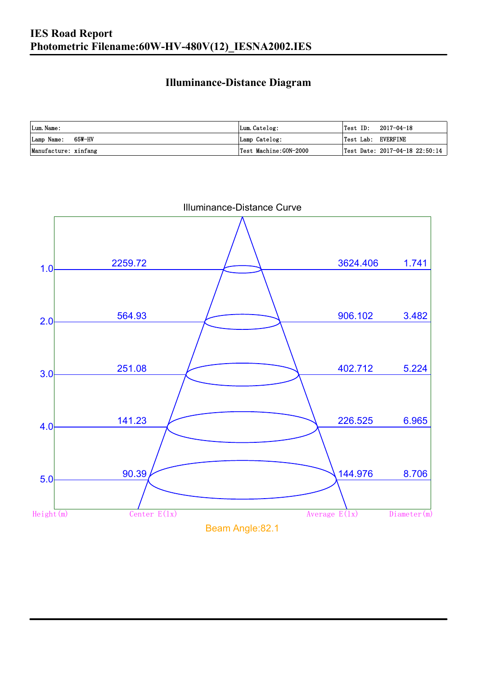### **Illuminance-Distance Diagram**

| Lum. Name:           | Lum.Catelog:          | Test ID:<br>2017-04-18         |
|----------------------|-----------------------|--------------------------------|
| Lamp Name: 65W-HV    | Lamp Catelog:         | Test Lab: EVERFINE             |
| Manufacture: xinfang | Test Machine:GON-2000 | Test Date: 2017-04-18 22:50:14 |



Illuminance-Distance Curve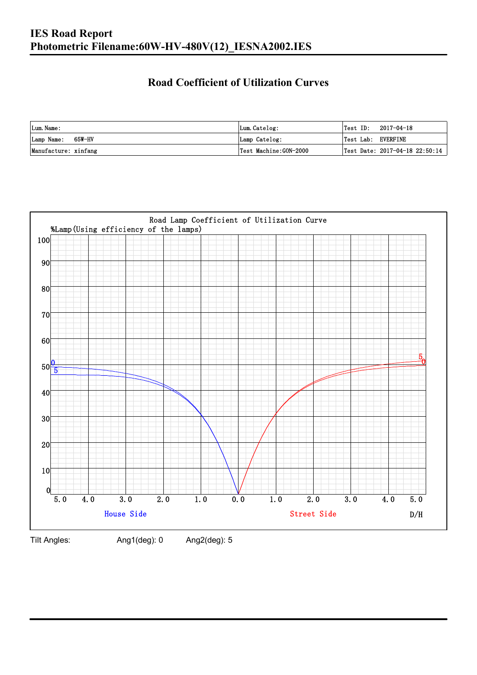### **Road Coefficient of Utilization Curves**

| Lum. Name:           | Lum.Catelog:          | Test ID:<br>2017-04-18             |
|----------------------|-----------------------|------------------------------------|
| Lamp Name: 65W-HV    | Lamp Catelog:         | Test Lab: EVERFINE                 |
| Manufacture: xinfang | Test Machine:GON-2000 | Test Date: $2017-04-18$ $22:50:14$ |



Tilt Angles: Ang1(deg): 0 Ang2(deg): 5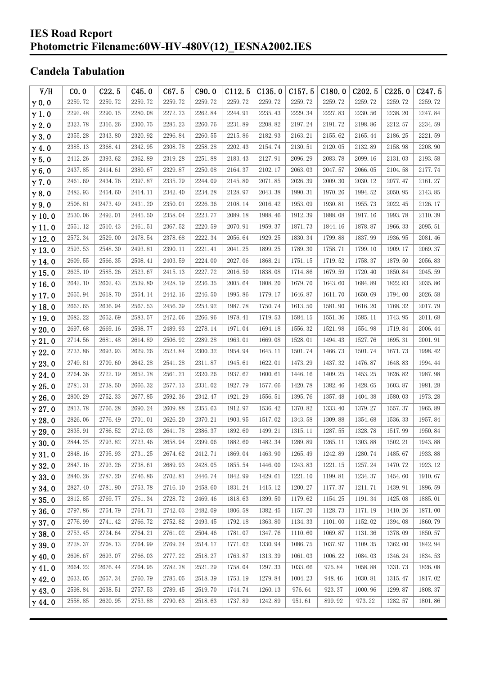#### **IES Road Report Photometric Filename:60W-HV-480V(12)\_IESNA2002.IES**

### **Candela Tabulation**

| V/H           | CO.0    | C22.5   | C45.0   | C67.5   | C90.0   | C112.5  | C135.0  | C157.5  | C180.0  | C <sub>202.5</sub> | C225.0  | C <sub>247.5</sub> |
|---------------|---------|---------|---------|---------|---------|---------|---------|---------|---------|--------------------|---------|--------------------|
| $\gamma$ 0.0  | 2259.72 | 2259.72 | 2259.72 | 2259.72 | 2259.72 | 2259.72 | 2259.72 | 2259.72 | 2259.72 | 2259.72            | 2259.72 | 2259.72            |
| $\gamma$ 1.0  | 2292.48 | 2290.15 | 2280.08 | 2272.73 | 2262.84 | 2244.91 | 2235.43 | 2229.34 | 2227.83 | 2230.56            | 2238.20 | 2247.84            |
| $\gamma$ 2.0  | 2323.78 | 2316.26 | 2300.75 | 2285.23 | 2260.76 | 2231.89 | 2208.82 | 2197.24 | 2191.72 | 2198.86            | 2212.57 | 2234.59            |
| $\gamma$ 3.0  | 2355.28 | 2343.80 | 2320.92 | 2296.84 | 2260.55 | 2215.86 | 2182.93 | 2163.21 | 2155.62 | 2165.44            | 2186.25 | 2221.59            |
| $\gamma$ 4.0  | 2385.13 | 2368.41 | 2342.95 | 2308.78 | 2258.28 | 2202.43 | 2154.74 | 2130.51 | 2120.05 | 2132.89            | 2158.98 | 2208.90            |
| $\gamma$ 5.0  | 2412.26 | 2393.62 | 2362.89 | 2319.28 | 2251.88 | 2183.43 | 2127.91 | 2096.29 | 2083.78 | 2099.16            | 2131.03 | 2193.58            |
| $\gamma$ 6.0  | 2437.85 | 2414.61 | 2380.67 | 2329.87 | 2250.08 | 2164.37 | 2102.17 | 2063.03 | 2047.57 | 2066.05            | 2104.58 | 2177.74            |
| $\gamma$ 7.0  | 2461.69 | 2434.76 | 2397.87 | 2335.79 | 2244.09 | 2145.80 | 2071.85 | 2026.39 | 2009.30 | 2030.12            | 2077.47 | 2161.27            |
| $\gamma$ 8.0  | 2482.93 | 2454.60 | 2414.11 | 2342.40 | 2234.28 | 2128.97 | 2043.38 | 1990.31 | 1970.26 | 1994.52            | 2050.95 | 2143.85            |
| $\gamma$ 9.0  | 2506.81 | 2473.49 | 2431.20 | 2350.01 | 2226.36 | 2108.14 | 2016.42 | 1953.09 | 1930.81 | 1955.73            | 2022.45 | 2126.17            |
| $\gamma$ 10.0 | 2530.06 | 2492.01 | 2445.50 | 2358.04 | 2223.77 | 2089.18 | 1988.46 | 1912.39 | 1888.08 | 1917.16            | 1993.78 | 2110.39            |
| $\gamma$ 11.0 | 2551.12 | 2510.43 | 2461.51 | 2367.52 | 2220.59 | 2070.91 | 1959.37 | 1871.73 | 1844.16 | 1878.87            | 1966.33 | 2095.51            |
| $\gamma$ 12.0 | 2572.34 | 2529.00 | 2478.54 | 2378.68 | 2222.34 | 2056.64 | 1929.25 | 1830.34 | 1799.88 | 1837.99            | 1936.95 | 2081.46            |
| $\gamma$ 13.0 | 2593.53 | 2548.30 | 2493.81 | 2390.11 | 2221.41 | 2041.25 | 1899.25 | 1789.30 | 1758.71 | 1799.10            | 1909.17 | 2069.37            |
| $\gamma$ 14.0 | 2609.55 | 2566.35 | 2508.41 | 2403.59 | 2224.00 | 2027.06 | 1868.21 | 1751.15 | 1719.52 | 1758.37            | 1879.50 | 2056.83            |
| $\gamma$ 15.0 | 2625.10 | 2585.26 | 2523.67 | 2415.13 | 2227.72 | 2016.50 | 1838.08 | 1714.86 | 1679.59 | 1720.40            | 1850.84 | 2045.59            |
| $\gamma$ 16.0 | 2642.10 | 2602.43 | 2539.80 | 2428.19 | 2236.35 | 2005.64 | 1808.20 | 1679.70 | 1643.60 | 1684.89            | 1822.83 | 2035.86            |
| $\gamma$ 17.0 | 2655.94 | 2618.70 | 2554.14 | 2442.16 | 2246.50 | 1995.86 | 1779.17 | 1646.87 | 1611.70 | 1650.69            | 1794.00 | 2026.58            |
| $\gamma$ 18.0 | 2667.65 | 2636.94 | 2567.53 | 2456.39 | 2253.92 | 1987.78 | 1750.74 | 1613.50 | 1581.90 | 1616.20            | 1768.32 | 2017.79            |
| $\gamma$ 19.0 | 2682.22 | 2652.69 | 2583.57 | 2472.06 | 2266.96 | 1978.41 | 1719.53 | 1584.15 | 1551.36 | 1585.11            | 1743.95 | 2011.68            |
| $\gamma$ 20.0 | 2697.68 | 2669.16 | 2598.77 | 2489.93 | 2278.14 | 1971.04 | 1694.18 | 1556.32 | 1521.98 | 1554.98            | 1719.84 | 2006.44            |
| $\gamma$ 21.0 | 2714.56 | 2681.48 | 2614.89 | 2506.92 | 2289.28 | 1963.01 | 1669.08 | 1528.01 | 1494.43 | 1527.76            | 1695.31 | 2001.91            |
| $\gamma$ 22.0 | 2733.86 | 2693.93 | 2629.26 | 2523.84 | 2300.32 | 1954.94 | 1645.11 | 1501.74 | 1466.73 | 1501.74            | 1671.73 | 1998.42            |
| $\gamma$ 23.0 | 2749.81 | 2709.60 | 2642.28 | 2541.28 | 2311.87 | 1945.61 | 1622.01 | 1473.29 | 1437.32 | 1476.87            | 1648.83 | 1994.44            |
| $\gamma$ 24.0 | 2764.36 | 2722.19 | 2652.78 | 2561.21 | 2320.26 | 1937.67 | 1600.61 | 1446.16 | 1409.25 | 1453.25            | 1626.82 | 1987.98            |
| $\gamma$ 25.0 | 2781.31 | 2738.50 | 2666.32 | 2577.13 | 2331.02 | 1927.79 | 1577.66 | 1420.78 | 1382.46 | 1428.65            | 1603.87 | 1981.28            |
| $\gamma$ 26.0 | 2800.29 | 2752.33 | 2677.85 | 2592.36 | 2342.47 | 1921.29 | 1556.51 | 1395.76 | 1357.48 | 1404.38            | 1580.03 | 1973.28            |
| $\gamma$ 27.0 | 2813.78 | 2766.28 | 2690.24 | 2609.88 | 2355.63 | 1912.97 | 1536.42 | 1370.82 | 1333.40 | 1379.27            | 1557.37 | 1965.89            |
| $\gamma$ 28.0 | 2826.06 | 2776.49 | 2701.01 | 2626.20 | 2370.21 | 1903.95 | 1517.02 | 1343.58 | 1309.88 | 1354.68            | 1536.33 | 1957.84            |
| $\gamma$ 29.0 | 2835.91 | 2786.52 | 2712.03 | 2641.78 | 2386.37 | 1892.60 | 1499.21 | 1315.11 | 1287.55 | 1328.78            | 1517.99 | 1950.84            |
| $\gamma$ 30.0 | 2844.25 | 2793.82 | 2723.46 | 2658.94 | 2399.06 | 1882.60 | 1482.34 | 1289.89 | 1265.11 | 1303.88            | 1502.21 | 1943.88            |
| $\gamma$ 31.0 | 2848.16 | 2795.93 | 2731.25 | 2674.62 | 2412.71 | 1869.04 | 1463.90 | 1265.49 | 1242.89 | 1280.74            | 1485.67 | 1933.88            |
| $\gamma$ 32.0 | 2847.16 | 2793.26 | 2738.61 | 2689.93 | 2428.05 | 1855.54 | 1446.00 | 1243.83 | 1221.15 | 1257.24            | 1470.72 | 1923.12            |
| $\gamma$ 33.0 | 2840.26 | 2787.20 | 2746.86 | 2702.81 | 2446.74 | 1842.99 | 1429.61 | 1221.10 | 1199.81 | 1234.37            | 1454.60 | 1910.67            |
| $\gamma$ 34.0 | 2827.40 | 2781.90 | 2753.78 | 2716.10 | 2458.60 | 1831.24 | 1415.12 | 1200.27 | 1177.37 | 1211.71            | 1439.91 | 1896.59            |
| $\gamma$ 35.0 | 2812.85 | 2769.77 | 2761.34 | 2728.72 | 2469.46 | 1818.63 | 1399.50 | 1179.62 | 1154.25 | 1191.34            | 1425.08 | 1885.01            |
| $\gamma$ 36.0 | 2797.86 | 2754.79 | 2764.71 | 2742.03 | 2482.09 | 1806.58 | 1382.45 | 1157.20 | 1128.73 | 1171.19            | 1410.26 | 1871.00            |
| $\gamma$ 37.0 | 2776.99 | 2741.42 | 2766.72 | 2752.82 | 2493.45 | 1792.18 | 1363.80 | 1134.33 | 1101.00 | 1152.02            | 1394.08 | 1860.79            |
| $\gamma$ 38.0 | 2753.45 | 2724.64 | 2764.21 | 2761.02 | 2504.46 | 1781.07 | 1347.76 | 1110.60 | 1069.87 | 1131.36            | 1378.09 | 1850.57            |
| $\gamma$ 39.0 | 2728.37 | 2708.13 | 2764.99 | 2769.24 | 2514.17 | 1771.02 | 1330.94 | 1086.75 | 1037.97 | 1109.35            | 1362.00 | 1842.94            |
| $\gamma$ 40.0 | 2698.67 | 2693.07 | 2766.03 | 2777.22 | 2518.27 | 1763.87 | 1313.39 | 1061.03 | 1006.22 | 1084.03            | 1346.24 | 1834.53            |
| $\gamma$ 41.0 | 2664.22 | 2676.44 | 2764.95 | 2782.78 | 2521.29 | 1758.04 | 1297.33 | 1033.66 | 975.84  | 1058.88            | 1331.73 | 1826.08            |
| $\gamma$ 42.0 | 2633.05 | 2657.34 | 2760.79 | 2785.05 | 2518.39 | 1753.19 | 1279.84 | 1004.23 | 948.46  | 1030.81            | 1315.47 | 1817.02            |
| $\gamma$ 43.0 | 2598.84 | 2638.51 | 2757.53 | 2789.45 | 2519.70 | 1744.74 | 1260.13 | 976.64  | 923.37  | 1000.96            | 1299.87 | 1808.37            |
| $\gamma$ 44.0 | 2558.85 | 2620.95 | 2753.88 | 2790.63 | 2518.63 | 1737.89 | 1242.89 | 951.61  | 899.92  | 973.22             | 1282.57 | 1801.86            |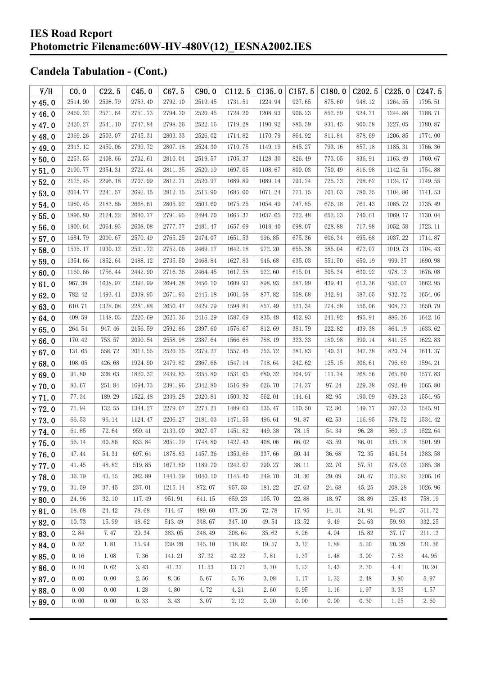| V/H           | CO.0    | C22.5   | C45.0   | C67.5   | C90.0   | C112.5  | C135.0  | C157.5 | C180.0 | C202.5 | C225.0  | C247.5  |
|---------------|---------|---------|---------|---------|---------|---------|---------|--------|--------|--------|---------|---------|
| $\gamma$ 45.0 | 2514.90 | 2598.79 | 2753.40 | 2792.10 | 2519.45 | 1731.51 | 1224.94 | 927.65 | 875.60 | 948.12 | 1264.55 | 1795.51 |
| $\gamma$ 46.0 | 2469.32 | 2571.64 | 2751.73 | 2794.70 | 2520.45 | 1724.20 | 1208.93 | 906.23 | 852.59 | 924.71 | 1244.88 | 1788.71 |
| $\gamma$ 47.0 | 2420.27 | 2541.10 | 2747.84 | 2798.26 | 2522.16 | 1719.28 | 1190.92 | 885.59 | 831.45 | 900.58 | 1227.05 | 1780.87 |
| $\gamma$ 48.0 | 2369.26 | 2503.07 | 2745.31 | 2803.33 | 2526.02 | 1714.82 | 1170.79 | 864.92 | 811.84 | 878.69 | 1206.85 | 1774.00 |
| $\gamma$ 49.0 | 2313.12 | 2459.06 | 2739.72 | 2807.18 | 2524.30 | 1710.75 | 1149.19 | 845.27 | 793.16 | 857.18 | 1185.31 | 1766.36 |
| $\gamma$ 50.0 | 2253.53 | 2408.66 | 2732.61 | 2810.04 | 2519.57 | 1705.37 | 1128.30 | 826.49 | 773.05 | 836.91 | 1163.49 | 1760.67 |
| $\gamma$ 51.0 | 2190.77 | 2354.31 | 2722.44 | 2811.35 | 2520.19 | 1697.05 | 1108.67 | 809.03 | 750.49 | 816.98 | 1142.51 | 1754.88 |
| $\gamma$ 52.0 | 2125.45 | 2296.18 | 2707.99 | 2812.71 | 2520.97 | 1689.89 | 1089.14 | 791.24 | 725.23 | 798.62 | 1124.17 | 1749.55 |
| $\gamma$ 53.0 | 2054.77 | 2241.57 | 2692.15 | 2812.15 | 2515.90 | 1685.00 | 1071.24 | 771.15 | 701.03 | 780.35 | 1104.86 | 1741.53 |
| $\gamma$ 54.0 | 1980.45 | 2183.86 | 2668.61 | 2805.92 | 2503.60 | 1675.25 | 1054.49 | 747.85 | 676.18 | 761.43 | 1085.72 | 1735.49 |
| $\gamma$ 55.0 | 1896.80 | 2124.22 | 2640.77 | 2791.95 | 2494.70 | 1665.37 | 1037.65 | 722.48 | 652.23 | 740.61 | 1069.17 | 1730.04 |
| $\gamma$ 56.0 | 1800.64 | 2064.93 | 2608.08 | 2777.77 | 2481.47 | 1657.69 | 1018.40 | 698.07 | 628.88 | 717.98 | 1052.58 | 1723.11 |
| $\gamma$ 57.0 | 1684.79 | 2000.67 | 2570.49 | 2765.25 | 2474.07 | 1651.53 | 996.85  | 675.36 | 606.34 | 695.68 | 1037.22 | 1714.87 |
| $\gamma$ 58.0 | 1535.17 | 1930.12 | 2531.72 | 2752.06 | 2469.17 | 1642.18 | 972.20  | 655.38 | 585.04 | 672.07 | 1019.73 | 1704.43 |
| $\gamma$ 59.0 | 1354.66 | 1852.64 | 2488.12 | 2735.50 | 2468.84 | 1627.83 | 946.68  | 635.03 | 551.50 | 650.19 | 999.37  | 1690.98 |
| $\gamma$ 60.0 | 1160.66 | 1756.44 | 2442.90 | 2716.36 | 2464.45 | 1617.58 | 922.60  | 615.01 | 505.34 | 630.92 | 978.13  | 1676.08 |
| $\gamma$ 61.0 | 967.38  | 1638.97 | 2392.99 | 2694.38 | 2456.10 | 1609.91 | 898.93  | 587.99 | 439.41 | 613.36 | 956.07  | 1662.95 |
| $\gamma$ 62.0 | 782.42  | 1493.41 | 2339.95 | 2671.93 | 2445.18 | 1601.58 | 877.82  | 558.68 | 342.91 | 587.65 | 932.72  | 1654.06 |
| $\gamma$ 63.0 | 610.71  | 1328.08 | 2281.88 | 2650.47 | 2429.79 | 1594.81 | 857.49  | 521.34 | 274.58 | 556.06 | 908.73  | 1650.79 |
| $\gamma$ 64.0 | 409.59  | 1148.03 | 2220.69 | 2625.36 | 2416.29 | 1587.69 | 835.48  | 452.93 | 241.92 | 495.91 | 886.36  | 1642.16 |
| $\gamma$ 65.0 | 264.54  | 947.46  | 2156.59 | 2592.86 | 2397.60 | 1576.67 | 812.69  | 381.79 | 222.82 | 439.38 | 864.19  | 1633.62 |
| $\gamma$ 66.0 | 170.42  | 753.57  | 2090.54 | 2558.98 | 2387.64 | 1566.68 | 788.19  | 323.33 | 180.98 | 390.14 | 841.25  | 1622.83 |
| $\gamma$ 67.0 | 131.65  | 558.72  | 2013.55 | 2520.25 | 2379.27 | 1557.45 | 753.72  | 281.83 | 140.31 | 347.38 | 820.74  | 1611.37 |
| $\gamma$ 68.0 | 108.05  | 426.68  | 1924.90 | 2479.82 | 2367.66 | 1547.14 | 718.64  | 242.62 | 125.15 | 306.61 | 796.69  | 1594.21 |
| $\gamma$ 69.0 | 91.80   | 328.63  | 1820.32 | 2439.83 | 2355.80 | 1531.05 | 680.32  | 204.97 | 111.74 | 268.56 | 765.60  | 1577.83 |
| $\gamma$ 70.0 | 83.67   | 251.84  | 1694.73 | 2391.96 | 2342.80 | 1516.89 | 626.70  | 174.37 | 97.24  | 229.38 | 692.49  | 1565.80 |
| $\gamma$ 71.0 | 77.34   | 189.29  | 1522.48 | 2339.28 | 2320.81 | 1503.32 | 562.01  | 144.61 | 82.95  | 190.09 | 639.23  | 1554.95 |
| $\gamma$ 72.0 | 71.94   | 132.55  | 1344.27 | 2279.07 | 2273.21 | 1489.63 | 535.47  | 110.50 | 72.80  | 149.77 | 597.33  | 1545.91 |
| $\gamma$ 73.0 | 66.53   | 96.14   | 1124.47 | 2206.27 | 2181.03 | 1471.55 | 496.61  | 91.87  | 62.53  | 116.95 | 578.52  | 1534.42 |
| $\gamma$ 74.0 | 61.85   | 72.64   | 959.41  | 2133.00 | 2027.07 | 1451.82 | 449.38  | 78.15  | 54.34  | 96.28  | 560.13  | 1522.64 |
| $\gamma$ 75.0 | 56.14   | 60.86   | 833.84  | 2051.79 | 1748.80 | 1427.43 | 408.06  | 66.02  | 43.59  | 86.01  | 535.18  | 1501.99 |
| $\gamma$ 76.0 | 47.44   | 54.31   | 697.64  | 1878.83 | 1457.36 | 1353.66 | 337.66  | 50.44  | 36.68  | 72.35  | 454.54  | 1383.58 |
| $\gamma$ 77.0 | 41.45   | 48.82   | 519.85  | 1673.80 | 1189.70 | 1242.07 | 290.27  | 38.11  | 32.70  | 57.51  | 378.03  | 1285.38 |
| $\gamma$ 78.0 | 36.79   | 43.15   | 382.89  | 1443.29 | 1040.10 | 1145.40 | 249.70  | 31.36  | 29.09  | 50.47  | 315.85  | 1206.16 |
| $\gamma$ 79.0 | 31.59   | 37.45   | 237.01  | 1215.14 | 872.07  | 957.53  | 181.22  | 27.63  | 24.68  | 45.25  | 208.28  | 1026.96 |
| $\gamma$ 80.0 | 24.96   | 32.10   | 117.49  | 951.91  | 641.15  | 659.23  | 105.70  | 22.88  | 18.97  | 38.89  | 125.43  | 758.19  |
| $\gamma$ 81.0 | 18.68   | 24.42   | 78.68   | 714.47  | 489.60  | 477.26  | 72.78   | 17.95  | 14.31  | 31.91  | 94.27   | 511.72  |
| $\gamma$ 82.0 | 10.73   | 15.99   | 48.62   | 513.49  | 348.67  | 347.10  | 49.54   | 13.52  | 9.49   | 24.63  | 59.93   | 332.25  |
| $\gamma$ 83.0 | 2.84    | 7.47    | 29.34   | 383.05  | 248.49  | 208.64  | 35.62   | 8.26   | 4.94   | 15.82  | 37.17   | 211.13  |
| $\gamma$ 84.0 | 0.52    | 1.81    | 15.94   | 239.28  | 145.10  | 118.82  | 19.57   | 3.12   | 1.88   | 5.20   | 20.29   | 131.36  |
| $\gamma$ 85.0 | 0.16    | 1.08    | 7.36    | 141.21  | 37.32   | 42.22   | 7.81    | 1.37   | 1.48   | 3.00   | 7.83    | 44.95   |
| $\gamma$ 86.0 | 0.10    | 0.62    | 3.43    | 41.37   | 11.53   | 13.71   | 3.70    | 1.22   | 1.43   | 2.70   | 4.41    | 10.20   |
| $\gamma$ 87.0 | 0.00    | 0.00    | 2.56    | 8.36    | 5.67    | 5.76    | 3.08    | 1.17   | 1.32   | 2.48   | 3.80    | 5.97    |
| $\gamma$ 88.0 | 0.00    | 0.00    | 1.28    | 4.80    | 4.72    | 4.21    | 2.60    | 0.95   | 1.16   | 1.97   | 3.33    | 4.57    |
| $\gamma$ 89.0 | 0.00    | 0.00    | 0.33    | 3.43    | 3.07    | 2.12    | 0.20    | 0.00   | 0.00   | 0.30   | 1.25    | 2.60    |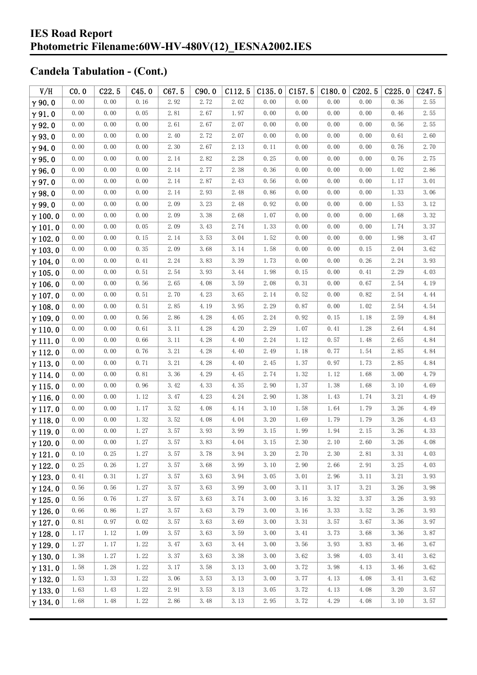| V/H            | CO.0 | C22.5 | C45.0 | C67.5 | C90.0                | C112.5 | C135.0   | C157.5 | C180.0 | C <sub>202.5</sub> | C225.0   | C <sub>247.5</sub> |
|----------------|------|-------|-------|-------|----------------------|--------|----------|--------|--------|--------------------|----------|--------------------|
| $\gamma$ 90.0  | 0.00 | 0.00  | 0.16  | 2.92  | 2.72                 | 2.02   | 0.00     | 0.00   | 0.00   | 0.00               | 0.36     | 2.55               |
| $\gamma$ 91.0  | 0.00 | 0.00  | 0.05  | 2.81  | 2.67                 | 1.97   | 0.00     | 0.00   | 0.00   | 0.00               | 0.46     | 2.55               |
| $\gamma$ 92.0  | 0.00 | 0.00  | 0.00  | 2.61  | 2.67                 | 2.07   | 0.00     | 0.00   | 0.00   | 0.00               | 0.56     | 2.55               |
| $\gamma$ 93.0  | 0.00 | 0.00  | 0.00  | 2.40  | 2.72                 | 2.07   | 0.00     | 0.00   | 0.00   | 0.00               | 0.61     | 2.60               |
| $\gamma$ 94.0  | 0.00 | 0.00  | 0.00  | 2.30  | 2.67                 | 2.13   | 0.11     | 0.00   | 0.00   | 0.00               | 0.76     | 2.70               |
| $\gamma$ 95.0  | 0.00 | 0.00  | 0.00  | 2.14  | 2.82                 | 2.28   | 0.25     | 0.00   | 0.00   | 0.00               | 0.76     | 2.75               |
| $\gamma$ 96.0  | 0.00 | 0.00  | 0.00  | 2.14  | 2.77                 | 2.38   | 0.36     | 0.00   | 0.00   | 0.00               | 1.02     | 2.86               |
| $\gamma$ 97.0  | 0.00 | 0.00  | 0.00  | 2.14  | 2.87                 | 2.43   | 0.56     | 0.00   | 0.00   | 0.00               | 1.17     | 3.01               |
| $\gamma$ 98.0  | 0.00 | 0.00  | 0.00  | 2.14  | 2.93                 | 2.48   | 0.86     | 0.00   | 0.00   | 0.00               | 1.33     | 3.06               |
| $\gamma$ 99.0  | 0.00 | 0.00  | 0.00  | 2.09  | 3.23                 | 2.48   | 0.92     | 0.00   | 0.00   | 0.00               | 1.53     | 3.12               |
| $\gamma$ 100.0 | 0.00 | 0.00  | 0.00  | 2.09  | 3.38                 | 2.68   | 1.07     | 0.00   | 0.00   | 0.00               | 1.68     | 3.32               |
| $\gamma$ 101.0 | 0.00 | 0.00  | 0.05  | 2.09  | 3.43                 | 2.74   | 1.33     | 0.00   | 0.00   | 0.00               | 1.74     | 3.37               |
| $\gamma$ 102.0 | 0.00 | 0.00  | 0.15  | 2.14  | 3.53                 | 3.04   | 1.52     | 0.00   | 0.00   | 0.00               | 1.98     | 3.47               |
| $\gamma$ 103.0 | 0.00 | 0.00  | 0.35  | 2.09  | 3.68                 | 3.14   | 1.58     | 0.00   | 0.00   | 0.15               | 2.04     | 3.62               |
| $\gamma$ 104.0 | 0.00 | 0.00  | 0.41  | 2.24  | 3.83                 | 3.39   | 1.73     | $0.00$ | 0.00   | 0.26               | 2.24     | 3.93               |
| $\gamma$ 105.0 | 0.00 | 0.00  | 0.51  | 2.54  | 3.93                 | 3.44   | 1.98     | 0.15   | 0.00   | 0.41               | 2.29     | 4.03               |
| $\gamma$ 106.0 | 0.00 | 0.00  | 0.56  | 2.65  | 4.08                 | 3.59   | 2.08     | 0.31   | 0.00   | 0.67               | 2.54     | 4.19               |
| $\gamma$ 107.0 | 0.00 | 0.00  | 0.51  | 2.70  | 4.23                 | 3.65   | 2.14     | 0.52   | 0.00   | 0.82               | 2.54     | 4.44               |
| $\gamma$ 108.0 | 0.00 | 0.00  | 0.51  | 2.85  | 4.19                 | 3.95   | 2.29     | 0.87   | 0.00   | 1.02               | 2.54     | 4.54               |
| $\gamma$ 109.0 | 0.00 | 0.00  | 0.56  | 2.86  | 4.28                 | 4.05   | 2.24     | 0.92   | 0.15   | 1.18               | 2.59     | 4.84               |
| $\gamma$ 110.0 | 0.00 | 0.00  | 0.61  | 3.11  | 4.28                 | 4.20   | 2.29     | 1.07   | 0.41   | 1.28               | 2.64     | 4.84               |
| $\gamma$ 111.0 | 0.00 | 0.00  | 0.66  | 3.11  | 4.28                 | 4.40   | 2.24     | 1.12   | 0.57   | 1.48               | 2.65     | 4.84               |
| $\gamma$ 112.0 | 0.00 | 0.00  | 0.76  | 3.21  | 4.28                 | 4.40   | 2.49     | 1.18   | 0.77   | 1.54               | 2.85     | 4.84               |
| $\gamma$ 113.0 | 0.00 | 0.00  | 0.71  | 3.21  | 4.28                 | 4.40   | 2.45     | 1.37   | 0.97   | 1.73               | 2.85     | 4.84               |
| $\gamma$ 114.0 | 0.00 | 0.00  | 0.81  | 3.36  | 4.29                 | 4.45   | 2.74     | 1.32   | 1.12   | 1.68               | 3.00     | 4.79               |
| $\gamma$ 115.0 | 0.00 | 0.00  | 0.96  | 3.42  | 4.33                 | 4.35   | 2.90     | 1.37   | 1.38   | 1.68               | 3.10     | 4.69               |
| $\gamma$ 116.0 | 0.00 | 0.00  | 1.12  | 3.47  | 4.23                 | 4.24   | 2.90     | 1.38   | 1.43   | 1.74               | 3.21     | 4.49               |
| $\gamma$ 117.0 | 0.00 | 0.00  | 1.17  | 3.52  | 4.08                 | 4.14   | 3.10     | 1.58   | 1.64   | 1.79               | 3.26     | 4.49               |
| $\gamma$ 118.0 | 0.00 | 0.00  | 1.32  | 3.52  | 4.08                 | 4.04   | 3.20     | 1.69   | 1.79   | 1.79               | 3.26     | 4.43               |
| $\gamma$ 119.0 | 0.00 | 0.00  | 1.27  | 3.57  | 3.93                 | 3.99   | 3.15     | 1.99   | 1.94   | 2.15               | 3.26     | 4.33               |
| $\gamma$ 120.0 | 0.00 | 0.00  | 1.27  | 3.57  | $3.\,\allowbreak 83$ | 4.04   | $3.\,15$ | 2.30   | 2.10   | 2.60               | $3.\,26$ | 4.08               |
| $\gamma$ 121.0 | 0.10 | 0.25  | 1.27  | 3.57  | 3.78                 | 3.94   | 3.20     | 2.70   | 2.30   | 2.81               | 3.31     | 4.03               |
| $\gamma$ 122.0 | 0.25 | 0.26  | 1.27  | 3.57  | 3.68                 | 3.99   | 3.10     | 2.90   | 2.66   | 2.91               | 3.25     | 4.03               |
| $\gamma$ 123.0 | 0.41 | 0.31  | 1.27  | 3.57  | 3.63                 | 3.94   | 3.05     | 3.01   | 2.96   | 3.11               | 3.21     | 3.93               |
| $\gamma$ 124.0 | 0.56 | 0.56  | 1.27  | 3.57  | 3.63                 | 3.99   | 3.00     | 3.11   | 3.17   | 3.21               | 3.26     | 3.98               |
| $\gamma$ 125.0 | 0.56 | 0.76  | 1.27  | 3.57  | 3.63                 | 3.74   | 3.00     | 3.16   | 3.32   | 3.37               | 3.26     | 3.93               |
| $\gamma$ 126.0 | 0.66 | 0.86  | 1.27  | 3.57  | 3.63                 | 3.79   | 3.00     | 3.16   | 3.33   | 3.52               | 3.26     | 3.93               |
| $\gamma$ 127.0 | 0.81 | 0.97  | 0.02  | 3.57  | 3.63                 | 3.69   | 3.00     | 3.31   | 3.57   | 3.67               | 3.36     | 3.97               |
| $\gamma$ 128.0 | 1.17 | 1.12  | 1.09  | 3.57  | 3.63                 | 3.59   | 3.00     | 3.41   | 3.73   | 3.68               | 3.36     | 3.87               |
| $\gamma$ 129.0 | 1.27 | 1.17  | 1.22  | 3.47  | 3.63                 | 3.44   | 3.00     | 3.56   | 3.93   | 3.83               | 3.46     | 3.67               |
| $\gamma$ 130.0 | 1.38 | 1.27  | 1.22  | 3.37  | 3.63                 | 3.38   | 3.00     | 3.62   | 3.98   | 4.03               | 3.41     | 3.62               |
| $\gamma$ 131.0 | 1.58 | 1.28  | 1.22  | 3.17  | 3.58                 | 3.13   | 3.00     | 3.72   | 3.98   | 4.13               | 3.46     | 3.62               |
| $\gamma$ 132.0 | 1.53 | 1.33  | 1.22  | 3.06  | 3.53                 | 3.13   | 3.00     | 3.77   | 4.13   | 4.08               | 3.41     | 3.62               |
| $\gamma$ 133.0 | 1.63 | 1.43  | 1.22  | 2.91  | 3.53                 | 3.13   | 3.05     | 3.72   | 4.13   | 4.08               | 3.20     | 3.57               |
| $\gamma$ 134.0 | 1.68 | 1.48  | 1.22  | 2.86  | 3.48                 | 3.13   | 2.95     | 3.72   | 4.29   | 4.08               | 3.10     | 3.57               |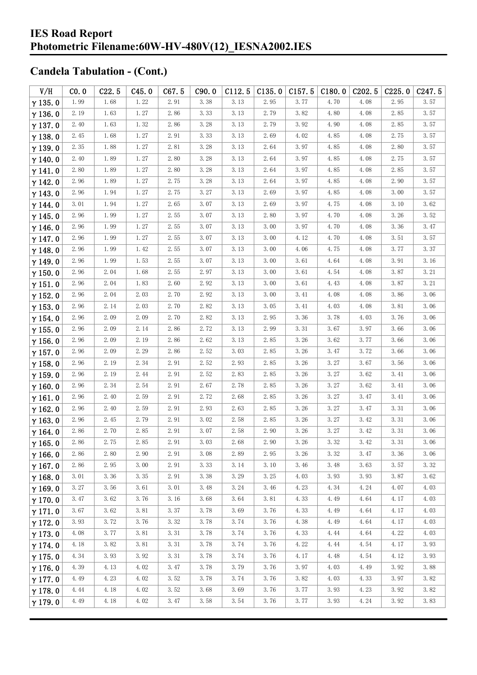| V/H            | CO.0                 | C22.5 | C45.0 | C67.5    | C90.0 | C112.5 | C135.0 |      | $C157.5$ $C180.0$ | C202.5 | C225.0   | C247.5 |
|----------------|----------------------|-------|-------|----------|-------|--------|--------|------|-------------------|--------|----------|--------|
| $\gamma$ 135.0 | 1.99                 | 1.68  | 1.22  | 2.91     | 3.38  | 3.13   | 2.95   | 3.77 | 4.70              | 4.08   | 2.95     | 3.57   |
| $\gamma$ 136.0 | 2.19                 | 1.63  | 1.27  | 2.86     | 3.33  | 3.13   | 2.79   | 3.82 | 4.80              | 4.08   | 2.85     | 3.57   |
| $\gamma$ 137.0 | 2.40                 | 1.63  | 1.32  | 2.86     | 3.28  | 3.13   | 2.79   | 3.92 | 4.90              | 4.08   | 2.85     | 3.57   |
| $\gamma$ 138.0 | 2.45                 | 1.68  | 1.27  | 2.91     | 3.33  | 3.13   | 2.69   | 4.02 | 4.85              | 4.08   | 2.75     | 3.57   |
| $\gamma$ 139.0 | 2.35                 | 1.88  | 1.27  | 2.81     | 3.28  | 3.13   | 2.64   | 3.97 | 4.85              | 4.08   | 2.80     | 3.57   |
| $\gamma$ 140.0 | 2.40                 | 1.89  | 1.27  | 2.80     | 3.28  | 3.13   | 2.64   | 3.97 | 4.85              | 4.08   | 2.75     | 3.57   |
| $\gamma$ 141.0 | 2.80                 | 1.89  | 1.27  | 2.80     | 3.28  | 3.13   | 2.64   | 3.97 | 4.85              | 4.08   | 2.85     | 3.57   |
| $\gamma$ 142.0 | 2.96                 | 1.89  | 1.27  | 2.75     | 3.28  | 3.13   | 2.64   | 3.97 | 4.85              | 4.08   | 2.90     | 3.57   |
| $\gamma$ 143.0 | 2.96                 | 1.94  | 1.27  | 2.75     | 3.27  | 3.13   | 2.69   | 3.97 | 4.85              | 4.08   | 3.00     | 3.57   |
| $\gamma$ 144.0 | 3.01                 | 1.94  | 1.27  | 2.65     | 3.07  | 3.13   | 2.69   | 3.97 | 4.75              | 4.08   | 3.10     | 3.62   |
| $\gamma$ 145.0 | 2.96                 | 1.99  | 1.27  | 2.55     | 3.07  | 3.13   | 2.80   | 3.97 | 4.70              | 4.08   | 3.26     | 3.52   |
| $\gamma$ 146.0 | 2.96                 | 1.99  | 1.27  | 2.55     | 3.07  | 3.13   | 3.00   | 3.97 | 4.70              | 4.08   | 3.36     | 3.47   |
| $\gamma$ 147.0 | 2.96                 | 1.99  | 1.27  | 2.55     | 3.07  | 3.13   | 3.00   | 4.12 | 4.70              | 4.08   | 3.51     | 3.57   |
| $\gamma$ 148.0 | 2.96                 | 1.99  | 1.42  | 2.55     | 3.07  | 3.13   | 3.00   | 4.06 | 4.75              | 4.08   | 3.77     | 3.37   |
| $\gamma$ 149.0 | 2.96                 | 1.99  | 1.53  | 2.55     | 3.07  | 3.13   | 3.00   | 3.61 | 4.64              | 4.08   | 3.91     | 3.16   |
| $\gamma$ 150.0 | 2.96                 | 2.04  | 1.68  | 2.55     | 2.97  | 3.13   | 3.00   | 3.61 | 4.54              | 4.08   | 3.87     | 3.21   |
| $\gamma$ 151.0 | 2.96                 | 2.04  | 1.83  | 2.60     | 2.92  | 3.13   | 3.00   | 3.61 | 4.43              | 4.08   | 3.87     | 3.21   |
| $\gamma$ 152.0 | 2.96                 | 2.04  | 2.03  | 2.70     | 2.92  | 3.13   | 3.00   | 3.41 | 4.08              | 4.08   | 3.86     | 3.06   |
| $\gamma$ 153.0 | 2.96                 | 2.14  | 2.03  | 2.70     | 2.82  | 3.13   | 3.05   | 3.41 | 4.03              | 4.08   | 3.81     | 3.06   |
| $\gamma$ 154.0 | 2.96                 | 2.09  | 2.09  | 2.70     | 2.82  | 3.13   | 2.95   | 3.36 | 3.78              | 4.03   | 3.76     | 3.06   |
| $\gamma$ 155.0 | 2.96                 | 2.09  | 2.14  | 2.86     | 2.72  | 3.13   | 2.99   | 3.31 | 3.67              | 3.97   | 3.66     | 3.06   |
| $\gamma$ 156.0 | 2.96                 | 2.09  | 2.19  | 2.86     | 2.62  | 3.13   | 2.85   | 3.26 | 3.62              | 3.77   | 3.66     | 3.06   |
| $\gamma$ 157.0 | 2.96                 | 2.09  | 2.29  | 2.86     | 2.52  | 3.03   | 2.85   | 3.26 | 3.47              | 3.72   | 3.66     | 3.06   |
| $\gamma$ 158.0 | 2.96                 | 2.19  | 2.34  | 2.91     | 2.52  | 2.93   | 2.85   | 3.26 | 3.27              | 3.67   | 3.56     | 3.06   |
| $\gamma$ 159.0 | 2.96                 | 2.19  | 2.44  | 2.91     | 2.52  | 2.83   | 2.85   | 3.26 | 3.27              | 3.62   | 3.41     | 3.06   |
| $\gamma$ 160.0 | 2.96                 | 2.34  | 2.54  | 2.91     | 2.67  | 2.78   | 2.85   | 3.26 | 3.27              | 3.62   | 3.41     | 3.06   |
| $\gamma$ 161.0 | 2.96                 | 2.40  | 2.59  | 2.91     | 2.72  | 2.68   | 2.85   | 3.26 | 3.27              | 3.47   | 3.41     | 3.06   |
| $\gamma$ 162.0 | 2.96                 | 2.40  | 2.59  | 2.91     | 2.93  | 2.63   | 2.85   | 3.26 | 3.27              | 3.47   | 3.31     | 3.06   |
| $\gamma$ 163.0 | 2.96                 | 2.45  | 2.79  | 2.91     | 3.02  | 2.58   | 2.85   | 3.26 | 3.27              | 3.42   | 3.31     | 3.06   |
| $\gamma$ 164.0 | 2.86                 | 2.70  | 2.85  | 2.91     | 3.07  | 2.58   | 2.90   | 3.26 | 3.27              | 3.42   | 3.31     | 3.06   |
| $\gamma$ 165.0 | $2.\,\allowbreak 86$ | 2.75  | 2.85  | $2.\,91$ | 3.03  | 2.68   | 2.90   | 3.26 | 3.32              | 3.42   | $3.\,31$ | 3.06   |
| $\gamma$ 166.0 | 2.86                 | 2.80  | 2.90  | 2.91     | 3.08  | 2.89   | 2.95   | 3.26 | 3.32              | 3.47   | 3.36     | 3.06   |
| $\gamma$ 167.0 | 2.86                 | 2.95  | 3.00  | 2.91     | 3.33  | 3.14   | 3.10   | 3.46 | 3.48              | 3.63   | 3.57     | 3.32   |
| $\gamma$ 168.0 | 3.01                 | 3.36  | 3.35  | 2.91     | 3.38  | 3.29   | 3.25   | 4.03 | 3.93              | 3.93   | 3.87     | 3.62   |
| $\gamma$ 169.0 | 3.27                 | 3.56  | 3.61  | 3.01     | 3.48  | 3.24   | 3.46   | 4.23 | 4.34              | 4.24   | 4.07     | 4.03   |
| $\gamma$ 170.0 | 3.47                 | 3.62  | 3.76  | 3.16     | 3.68  | 3.64   | 3.81   | 4.33 | 4.49              | 4.64   | 4.17     | 4.03   |
| $\gamma$ 171.0 | 3.67                 | 3.62  | 3.81  | 3.37     | 3.78  | 3.69   | 3.76   | 4.33 | 4.49              | 4.64   | 4.17     | 4.03   |
| $\gamma$ 172.0 | 3.93                 | 3.72  | 3.76  | 3.32     | 3.78  | 3.74   | 3.76   | 4.38 | 4.49              | 4.64   | 4.17     | 4.03   |
| $\gamma$ 173.0 | 4.08                 | 3.77  | 3.81  | 3.31     | 3.78  | 3.74   | 3.76   | 4.33 | 4.44              | 4.64   | 4.22     | 4.03   |
| $\gamma$ 174.0 | 4.18                 | 3.82  | 3.81  | 3.31     | 3.78  | 3.74   | 3.76   | 4.22 | 4.44              | 4.54   | 4.17     | 3.93   |
| $\gamma$ 175.0 | 4.34                 | 3.93  | 3.92  | 3.31     | 3.78  | 3.74   | 3.76   | 4.17 | 4.48              | 4.54   | 4.12     | 3.93   |
| $\gamma$ 176.0 | 4.39                 | 4.13  | 4.02  | 3.47     | 3.78  | 3.79   | 3.76   | 3.97 | 4.03              | 4.49   | 3.92     | 3.88   |
| $\gamma$ 177.0 | 4.49                 | 4.23  | 4.02  | 3.52     | 3.78  | 3.74   | 3.76   | 3.82 | 4.03              | 4.33   | 3.97     | 3.82   |
| $\gamma$ 178.0 | 4.44                 | 4.18  | 4.02  | 3.52     | 3.68  | 3.69   | 3.76   | 3.77 | 3.93              | 4.23   | 3.92     | 3.82   |
| $\gamma$ 179.0 | 4.49                 | 4.18  | 4.02  | 3.47     | 3.58  | 3.54   | 3.76   | 3.77 | 3.93              | 4.24   | 3.92     | 3.83   |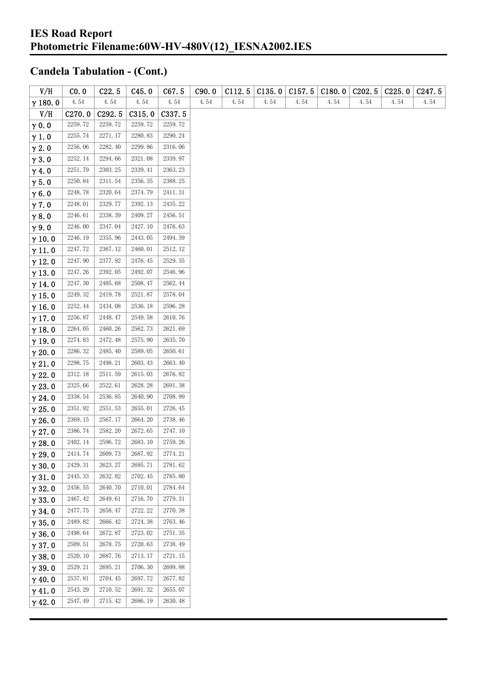| V/H            | CO.0               | C22.5              | C45.0   | C67.5   | C90.0 | C112.5 | C135.0 | C157.5 | C180.0 | C <sub>202.5</sub> | C225.0 | C <sub>247.5</sub> |
|----------------|--------------------|--------------------|---------|---------|-------|--------|--------|--------|--------|--------------------|--------|--------------------|
| $\gamma$ 180.0 | 4.54               | 4.54               | 4.54    | 4.54    | 4.54  | 4.54   | 4.54   | 4.54   | 4.54   | 4.54               | 4.54   | 4.54               |
| V/H            | C <sub>270.0</sub> | C <sub>292.5</sub> | C315.0  | C337.5  |       |        |        |        |        |                    |        |                    |
| $\gamma$ 0.0   | 2259.72            | 2259.72            | 2259.72 | 2259.72 |       |        |        |        |        |                    |        |                    |
| $\gamma$ 1.0   | 2255.74            | 2271.17            | 2280.83 | 2290.24 |       |        |        |        |        |                    |        |                    |
| $\gamma$ 2.0   | 2256.06            | 2282.40            | 2299.86 | 2316.06 |       |        |        |        |        |                    |        |                    |
| $\gamma$ 3.0   | 2252.14            | 2294.66            | 2321.08 | 2339.97 |       |        |        |        |        |                    |        |                    |
| $\gamma$ 4.0   | 2251.79            | 2303.25            | 2339.41 | 2363.23 |       |        |        |        |        |                    |        |                    |
| $\gamma$ 5.0   | 2250.84            | 2311.54            | 2356.35 | 2388.25 |       |        |        |        |        |                    |        |                    |
| $\gamma$ 6.0   | 2248.78            | 2320.64            | 2374.79 | 2411.31 |       |        |        |        |        |                    |        |                    |
| $\gamma$ 7.0   | 2248.01            | 2329.77            | 2392.13 | 2435.22 |       |        |        |        |        |                    |        |                    |
| $\gamma$ 8.0   | 2246.61            | 2338.39            | 2409.27 | 2456.51 |       |        |        |        |        |                    |        |                    |
| $\gamma$ 9.0   | 2246.00            | 2347.04            | 2427.10 | 2476.63 |       |        |        |        |        |                    |        |                    |
| $\gamma$ 10.0  | 2246.19            | 2355.96            | 2443.05 | 2494.39 |       |        |        |        |        |                    |        |                    |
| $\gamma$ 11.0  | 2247.72            | 2367.12            | 2460.01 | 2512.12 |       |        |        |        |        |                    |        |                    |
| $\gamma$ 12.0  | 2247.90            | 2377.92            | 2476.45 | 2529.35 |       |        |        |        |        |                    |        |                    |
| $\gamma$ 13.0  | 2247.26            | 2392.05            | 2492.07 | 2546.96 |       |        |        |        |        |                    |        |                    |
| $\gamma$ 14.0  | 2247.30            | 2405.68            | 2508.47 | 2562.44 |       |        |        |        |        |                    |        |                    |
| $\gamma$ 15.0  | 2249.32            | 2419.78            | 2521.87 | 2578.04 |       |        |        |        |        |                    |        |                    |
| $\gamma$ 16.0  | 2252.44            | 2434.08            | 2536.18 | 2596.28 |       |        |        |        |        |                    |        |                    |
| $\gamma$ 17.0  | 2256.87            | 2448.47            | 2549.58 | 2610.76 |       |        |        |        |        |                    |        |                    |
| $\gamma$ 18.0  | 2264.05            | 2460.26            | 2562.73 | 2621.69 |       |        |        |        |        |                    |        |                    |
| $\gamma$ 19.0  | 2274.83            | 2472.48            | 2575.90 | 2635.70 |       |        |        |        |        |                    |        |                    |
| $\gamma$ 20.0  | 2286.32            | 2485.40            | 2589.05 | 2650.61 |       |        |        |        |        |                    |        |                    |
| $\gamma$ 21.0  | 2298.75            | 2498.21            | 2603.43 | 2663.40 |       |        |        |        |        |                    |        |                    |
| $\gamma$ 22.0  | 2312.18            | 2511.59            | 2615.03 | 2676.82 |       |        |        |        |        |                    |        |                    |
| $\gamma$ 23.0  | 2325.66            | 2522.61            | 2628.28 | 2691.38 |       |        |        |        |        |                    |        |                    |
| $\gamma$ 24.0  | 2338.54            | 2536.85            | 2640.90 | 2708.99 |       |        |        |        |        |                    |        |                    |
| $\gamma$ 25.0  | 2351.92            | 2551.53            | 2655.01 | 2726.45 |       |        |        |        |        |                    |        |                    |
| $\gamma$ 26.0  | 2369.15            | 2567.17            | 2664.20 | 2738.46 |       |        |        |        |        |                    |        |                    |
| $\gamma$ 27.0  | 2386.74            | 2582.20            | 2672.65 | 2747.10 |       |        |        |        |        |                    |        |                    |
| $\gamma$ 28.0  | 2402.14            | 2596.72            | 2683.10 | 2759.26 |       |        |        |        |        |                    |        |                    |
| $\gamma$ 29.0  | 2414.74            | 2609.73            | 2687.92 | 2774.21 |       |        |        |        |        |                    |        |                    |
| $\gamma$ 30.0  | 2429.31            | 2623.27            | 2695.71 | 2781.62 |       |        |        |        |        |                    |        |                    |
| $\gamma$ 31.0  | 2445.33            | 2632.82            | 2702.45 | 2785.80 |       |        |        |        |        |                    |        |                    |
| $\gamma$ 32.0  | 2456.55            | 2640.70            | 2710.01 | 2784.64 |       |        |        |        |        |                    |        |                    |
| $\gamma$ 33.0  | 2467.42            | 2649.61            | 2716.70 | 2779.31 |       |        |        |        |        |                    |        |                    |
| $\gamma$ 34.0  | 2477.75            | 2658.47            | 2722.22 | 2770.38 |       |        |        |        |        |                    |        |                    |
| $\gamma$ 35.0  | 2489.82            | 2666.42            | 2724.38 | 2763.46 |       |        |        |        |        |                    |        |                    |
| $\gamma$ 36.0  | 2498.64            | 2672.87            | 2723.02 | 2751.35 |       |        |        |        |        |                    |        |                    |
| $\gamma$ 37.0  | 2509.51            | 2678.75            | 2720.63 | 2738.49 |       |        |        |        |        |                    |        |                    |
| $\gamma$ 38.0  | 2520.10            | 2687.76            | 2713.17 | 2721.15 |       |        |        |        |        |                    |        |                    |
| $\gamma$ 39.0  | 2529.21            | 2695.21            | 2706.30 | 2699.88 |       |        |        |        |        |                    |        |                    |
| $\gamma$ 40.0  | 2537.81            | 2704.45            | 2697.72 | 2677.82 |       |        |        |        |        |                    |        |                    |
| $\gamma$ 41.0  | 2543.29            | 2710.52            | 2691.32 | 2655.07 |       |        |        |        |        |                    |        |                    |
| $\gamma$ 42.0  | 2547.49            | 2715.42            | 2686.19 | 2630.48 |       |        |        |        |        |                    |        |                    |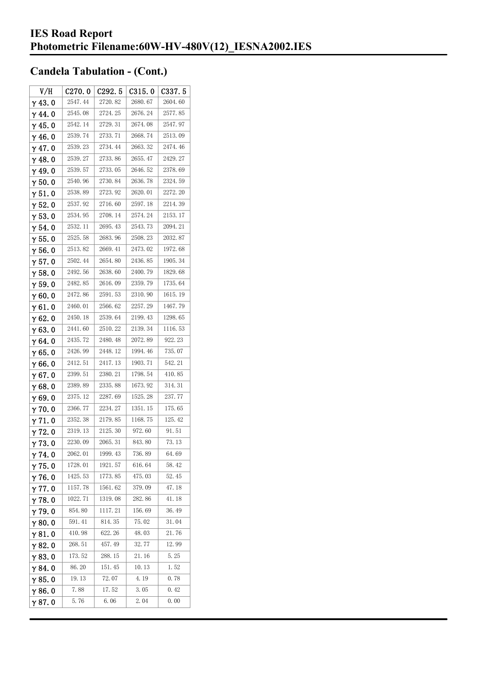| V/H            | C270.0  | C <sub>292.5</sub> | C315.0  | C337.5  |
|----------------|---------|--------------------|---------|---------|
| $\gamma$ 43. 0 | 2547.44 | 2720.82            | 2680.67 | 2604.60 |
| $\gamma$ 44.0  | 2545.08 | 2724.25            | 2676.24 | 2577.85 |
| $\gamma$ 45. 0 | 2542.14 | 2729.31            | 2674.08 | 2547.97 |
| γ46.0          | 2539.74 | 2733.71            | 2668.74 | 2513.09 |
| $\gamma$ 47.0  | 2539.23 | 2734.44            | 2663.32 | 2474.46 |
| $\gamma$ 48.0  | 2539.27 | 2733.86            | 2655.47 | 2429.27 |
| γ49.0          | 2539.57 | 2733.05            | 2646.52 | 2378.69 |
| $\gamma$ 50. 0 | 2540.96 | 2730.84            | 2636.78 | 2324.59 |
| $\gamma$ 51.0  | 2538.89 | 2723.92            | 2620.01 | 2272.20 |
| $\gamma$ 52. 0 | 2537.92 | 2716.60            | 2597.18 | 2214.39 |
| $\gamma$ 53.0  | 2534.95 | 2708.14            | 2574.24 | 2153.17 |
| $\gamma$ 54. 0 | 2532.11 | 2695.43            | 2543.73 | 2094.21 |
| $\gamma$ 55.0  | 2525.58 | 2683.96            | 2508.23 | 2032.87 |
| γ56.0          | 2513.82 | 2669.41            | 2473.02 | 1972.68 |
| γ57.0          | 2502.44 | 2654.80            | 2436.85 | 1905.34 |
| $\gamma$ 58. 0 | 2492.56 | 2638.60            | 2400.79 | 1829.68 |
| $\gamma$ 59.0  | 2482.85 | 2616.09            | 2359.79 | 1735.64 |
| γ60.0          | 2472.86 | 2591.53            | 2310.90 | 1615.19 |
| $\gamma$ 61.0  | 2460.01 | 2566.62            | 2257.29 | 1467.79 |
| $\gamma$ 62. 0 | 2450.18 | 2539.64            | 2199.43 | 1298.65 |
| $\gamma$ 63.0  | 2441.60 | 2510.22            | 2139.34 | 1116.53 |
| γ64.0          | 2435.72 | 2480.48            | 2072.89 | 922.23  |
| γ65.0          | 2426.99 | 2448.12            | 1994.46 | 735.07  |
| γ66.0          | 2412.51 | 2417.13            | 1903.71 | 542.21  |
| $\gamma$ 67. 0 | 2399.51 | 2380.21            | 1798.54 | 410.85  |
| γ68.0          | 2389.89 | 2335.88            | 1673.92 | 314.31  |
| γ69.0          | 2375.12 | 2287.69            | 1525.28 | 237.77  |
| $\gamma$ 70.0  | 2366.77 | 2234.27            | 1351.15 | 175.65  |
| $\gamma$ 71.0  | 2352.38 | 2179.85            | 1168.75 | 125.42  |
| $\gamma$ 72.0  | 2319.13 | 2125.30            | 972.60  | 91.51   |
| $\gamma$ 73.0  | 2230.09 | 2065.31            | 843.80  | 73.13   |
| γ74.0          | 2062.01 | 1999.43            | 736.89  | 64. 69  |
| $\gamma$ 75.0  | 1728.01 | 1921.57            | 616.64  | 58.42   |
| $\gamma$ 76. 0 | 1425.53 | 1773.85            | 475.03  | 52.45   |
| $\gamma$ 77. 0 | 1157.78 | 1561.62            | 379.09  | 47.18   |
| $\gamma$ 78.0  | 1022.71 | 1319.08            | 282.86  | 41.18   |
| $\gamma$ 79.0  | 854.80  | 1117.21            | 156.69  | 36.49   |
| γ80.0          | 591.41  | 814.35             | 75.02   | 31.04   |
| γ81.0          | 410.98  | 622.26             | 48.03   | 21.76   |
| γ82.0          | 268.51  | 457.49             | 32.77   | 12.99   |
| $\gamma$ 83. O | 173.52  | 288.15             | 21. 16  | 5.25    |
| γ84.0          | 86.20   | 151.45             | 10.13   | 1.52    |
| γ85.0          | 19.13   | 72.07              | 4.19    | 0.78    |
| $\gamma$ 86.0  | 7.88    | 17.52              | 3.05    | 0.42    |
| γ87.0          | 5.76    | 6.06               | 2.04    | 0.00    |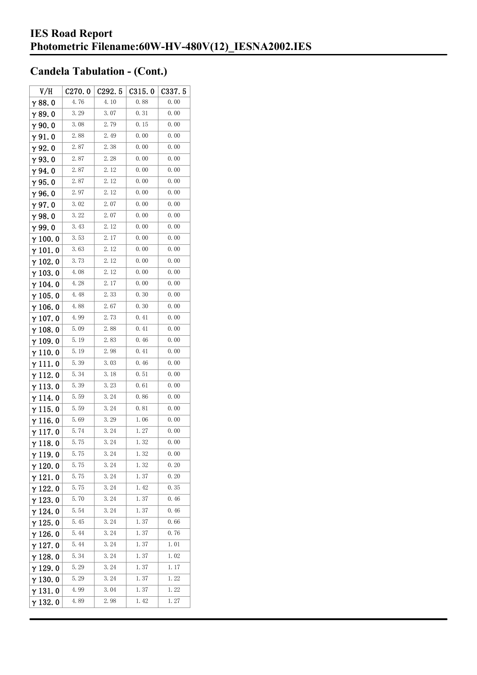| V/H             | C270.0 | C292.5 | C315.0 | C337.5 |
|-----------------|--------|--------|--------|--------|
| $\gamma$ 88.0   | 4.76   | 4.10   | 0.88   | 0.00   |
| $\gamma$ 89.0   | 3.29   | 3.07   | 0.31   | 0.00   |
| $\gamma$ 90.0   | 3.08   | 2.79   | 0.15   | 0.00   |
| $\gamma$ 91.0   | 2.88   | 2.49   | 0.00   | 0.00   |
| γ92.0           | 2.87   | 2.38   | 0.00   | 0.00   |
| $\gamma$ 93. O  | 2.87   | 2.28   | 0.00   | 0.00   |
| $\gamma$ 94.0   | 2.87   | 2.12   | 0.00   | 0.00   |
| $\gamma$ 95.0   | 2.87   | 2.12   | 0.00   | 0.00   |
| $\gamma$ 96.0   | 2.97   | 2.12   | 0.00   | 0.00   |
| γ97.0           | 3.02   | 2.07   | 0.00   | 0.00   |
| $\gamma$ 98.0   | 3.22   | 2.07   | 0.00   | 0.00   |
| $\gamma$ 99.0   | 3.43   | 2.12   | 0.00   | 0.00   |
| $\gamma$ 100.0  | 3.53   | 2.17   | 0.00   | 0.00   |
| $\gamma$ 101. 0 | 3.63   | 2.12   | 0.00   | 0.00   |
| $\gamma$ 102.0  | 3.73   | 2.12   | 0.00   | 0.00   |
| $\gamma$ 103. 0 | 4.08   | 2.12   | 0.00   | 0.00   |
| $\gamma$ 104. 0 | 4.28   | 2.17   | 0.00   | 0.00   |
| $\gamma$ 105.0  | 4.48   | 2.33   | 0.30   | 0.00   |
| $\gamma$ 106.0  | 4.88   | 2.67   | 0.30   | 0.00   |
| γ107.0          | 4.99   | 2.73   | 0.41   | 0.00   |
| $\gamma$ 108.0  | 5.09   | 2.88   | 0.41   | 0.00   |
| $\gamma$ 109.0  | 5.19   | 2.83   | 0.46   | 0.00   |
| $\gamma$ 110. 0 | 5.19   | 2.98   | 0.41   | 0.00   |
| γ111.0          | 5.39   | 3.03   | 0.46   | 0.00   |
| $\gamma$ 112. 0 | 5.34   | 3. 18  | 0.51   | 0.00   |
| $\gamma$ 113. 0 | 5.39   | 3.23   | 0.61   | 0.00   |
| γ114.0          | 5.59   | 3.24   | 0.86   | 0.00   |
| $\gamma$ 115. 0 | 5.59   | 3.24   | 0.81   | 0.00   |
| γ116.0          | 5.69   | 3.29   | 1.06   | 0.00   |
| $\gamma$ 117.0  | 5.74   | 3.24   | 1.27   | 0.00   |
| $\gamma$ 118.0  | 5.75   | 3. 24  | 1.32   | 0.00   |
| γ119.0          | 5.75   | 3. 24  | 1.32   | 0.00   |
| $\gamma$ 120.0  | 5.75   | 3. 24  | 1.32   | 0.20   |
| $\gamma$ 121.0  | 5.75   | 3.24   | 1.37   | 0.20   |
| $\gamma$ 122.0  | 5.75   | 3.24   | 1.42   | 0.35   |
| $\gamma$ 123.0  | 5.70   | 3.24   | 1.37   | 0.46   |
| $\gamma$ 124. 0 | 5.54   | 3.24   | 1.37   | 0.46   |
| $\gamma$ 125.0  | 5.45   | 3. 24  | 1.37   | 0.66   |
| $\gamma$ 126.0  | 5.44   | 3.24   | 1.37   | 0.76   |
| $\gamma$ 127. 0 | 5.44   | 3.24   | 1.37   | 1.01   |
| $\gamma$ 128.0  | 5.34   | 3.24   | 1.37   | 1.02   |
| $\gamma$ 129.0  | 5.29   | 3. 24  | 1.37   | 1.17   |
| $\gamma$ 130. 0 | 5.29   | 3.24   | 1.37   | 1.22   |
| $\gamma$ 131.0  | 4.99   | 3.04   | 1.37   | 1.22   |
| $\gamma$ 132. 0 | 4.89   | 2.98   | 1.42   | 1.27   |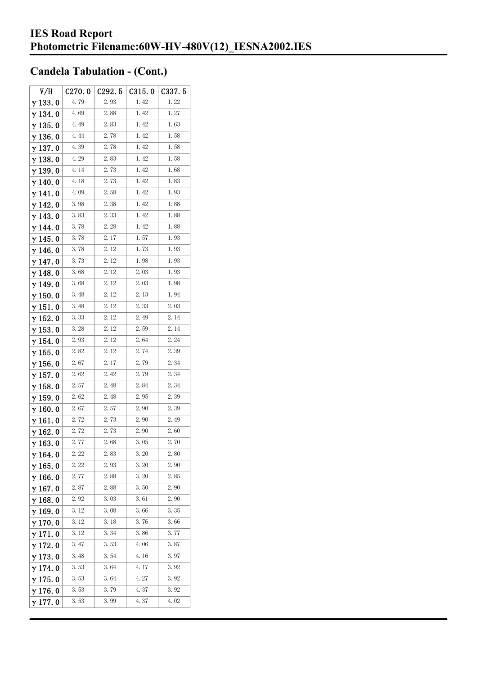| V/H             | C270.0      | C292.5 | C315.0 | C337.5 |
|-----------------|-------------|--------|--------|--------|
| $\gamma$ 133.0  | 4.79        | 2.93   | 1.42   | 1.22   |
| γ134.0          | 4.69        | 2.88   | 1.42   | 1.27   |
| $\gamma$ 135. 0 | 4.49        | 2.83   | 1.42   | 1.63   |
| $\gamma$ 136.0  | 4.44        | 2.78   | 1.42   | 1.58   |
| $\gamma$ 137.0  | 4.39        | 2.78   | 1.42   | 1.58   |
| $\gamma$ 138.0  | 4.29        | 2.83   | 1.42   | 1.58   |
| γ139.0          | 4.14        | 2.73   | 1.42   | 1.68   |
| $\gamma$ 140.0  | 4.18        | 2.73   | 1.42   | 1.83   |
| γ141.0          | 4.09        | 2.58   | 1.42   | 1.93   |
| $\gamma$ 142. 0 | 3.98        | 2.38   | 1.42   | 1.88   |
| $\gamma$ 143.0  | 3.83        | 2.33   | 1.42   | 1.88   |
| $\gamma$ 144. 0 | 3.78        | 2.28   | 1.42   | 1.88   |
| γ145.0          | 3.78        | 2.17   | 1.57   | 1.93   |
| γ146.0          | 3.78        | 2.12   | 1.73   | 1.93   |
| γ147.0          | 3.73        | 2.12   | 1.98   | 1.93   |
| $\gamma$ 148. 0 | 3.68        | 2.12   | 2.03   | 1.93   |
| $\gamma$ 149.0  | 3.68        | 2. 12  | 2.03   | 1.98   |
| $\gamma$ 150.0  | 3.48        | 2. 12  | 2.13   | 1.94   |
| $\gamma$ 151.0  | 3.48        | 2. 12  | 2.33   | 2.03   |
| $\gamma$ 152. 0 | 3.33        | 2.12   | 2.49   | 2.14   |
| $\gamma$ 153. 0 | <b>3.28</b> | 2.12   | 2.59   | 2.14   |
| $\gamma$ 154. 0 | 2.93        | 2.12   | 2.64   | 2.24   |
| $\gamma$ 155. 0 | 2.82        | 2.12   | 2.74   | 2.39   |
| $\gamma$ 156. 0 | 2.67        | 2.17   | 2.79   | 2.34   |
| $\gamma$ 157. 0 | 2.62        | 2.42   | 2.79   | 2.34   |
| $\gamma$ 158.0  | 2.57        | 2.48   | 2.84   | 2.34   |
| $\gamma$ 159.0  | 2.62        | 2.48   | 2.95   | 2.39   |
| $\gamma$ 160. 0 | 2.67        | 2.57   | 2.90   | 2.39   |
| γ161.0          | 2.72        | 2.73   | 2.90   | 2.49   |
| $\gamma$ 162.0  | 2.72        | 2.73   | 2.90   | 2.60   |
| $\gamma$ 163.0  | 2.77        | 2.68   | 3.05   | 2.70   |
| $\gamma$ 164. 0 | 2.22        | 2.83   | 3.20   | 2.80   |
| $\gamma$ 165.0  | 2.22        | 2.93   | 3.20   | 2.90   |
| $\gamma$ 166.0  | 2.77        | 2.88   | 3.20   | 2.85   |
| $\gamma$ 167.0  | 2.87        | 2.88   | 3.50   | 2.90   |
| $\gamma$ 168.0  | 2.92        | 3.03   | 3.61   | 2.90   |
| $\gamma$ 169.0  | 3.12        | 3.08   | 3.66   | 3.35   |
| $\gamma$ 170.0  | 3.12        | 3.18   | 3.76   | 3.66   |
| $\gamma$ 171. 0 | 3.12        | 3.34   | 3.86   | 3.77   |
| $\gamma$ 172. 0 | 3.47        | 3.53   | 4.06   | 3.87   |
| $\gamma$ 173.0  | 3.48        | 3.54   | 4.16   | 3.97   |
| γ 174. 0        | 3.53        | 3.64   | 4.17   | 3.92   |
| $\gamma$ 175.0  | 3.53        | 3.64   | 4.27   | 3.92   |
| $\gamma$ 176.0  | 3.53        | 3.79   | 4.37   | 3.92   |
| γ177.0          | 3.53        | 3.99   | 4.37   | 4.02   |